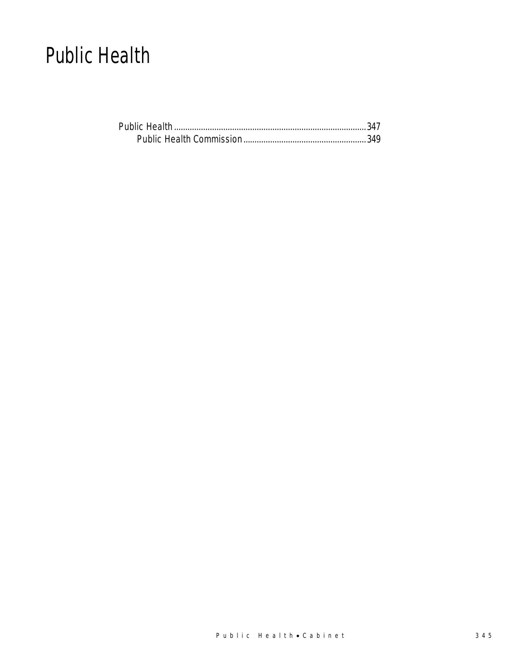## Public Health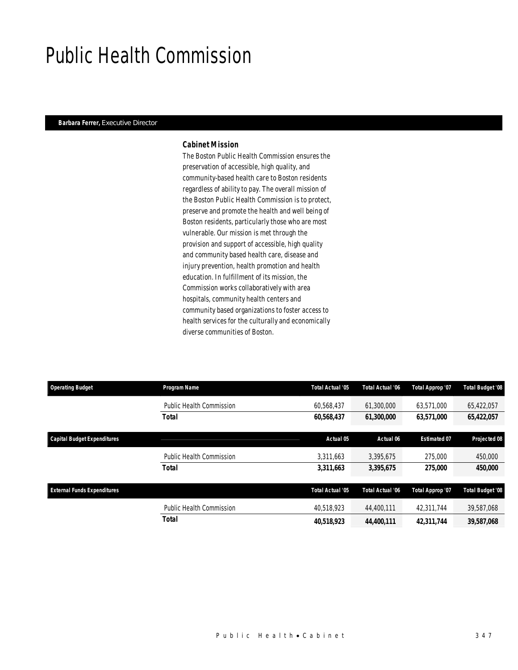## Public Health Commission

#### *Barbara Ferrer, Executive Director*

### *Cabinet Mission*

The Boston Public Health Commission ensures the preservation of accessible, high quality, and community-based health care to Boston residents regardless of ability to pay. The overall mission of the Boston Public Health Commission is to protect, preserve and promote the health and well being of Boston residents, particularly those who are most vulnerable. Our mission is met through the provision and support of accessible, high quality and community based health care, disease and injury prevention, health promotion and health education. In fulfillment of its mission, the Commission works collaboratively with area hospitals, community health centers and community based organizations to foster access to health services for the culturally and economically diverse communities of Boston.

| <b>Operating Budget</b>            | Program Name                    | Total Actual '05 | Total Actual '06 | Total Approp '07    | <b>Total Budget '08</b> |
|------------------------------------|---------------------------------|------------------|------------------|---------------------|-------------------------|
|                                    | <b>Public Health Commission</b> | 60,568,437       | 61,300,000       | 63,571,000          | 65,422,057              |
|                                    | <b>Total</b>                    | 60,568,437       | 61,300,000       | 63,571,000          | 65,422,057              |
| <b>Capital Budget Expenditures</b> |                                 | Actual 05        | Actual 06        | <b>Estimated 07</b> | Projected 08            |
|                                    | Public Health Commission        | 3.311.663        | 3,395,675        | 275,000             | 450,000                 |
|                                    | <b>Total</b>                    | 3,311,663        | 3,395,675        | 275,000             | 450,000                 |
| <b>External Funds Expenditures</b> |                                 | Total Actual '05 | Total Actual '06 | Total Approp '07    | <b>Total Budget '08</b> |
|                                    | <b>Public Health Commission</b> | 40,518,923       | 44,400,111       | 42,311,744          | 39,587,068              |
|                                    | <b>Total</b>                    | 40,518,923       | 44,400,111       | 42,311,744          | 39,587,068              |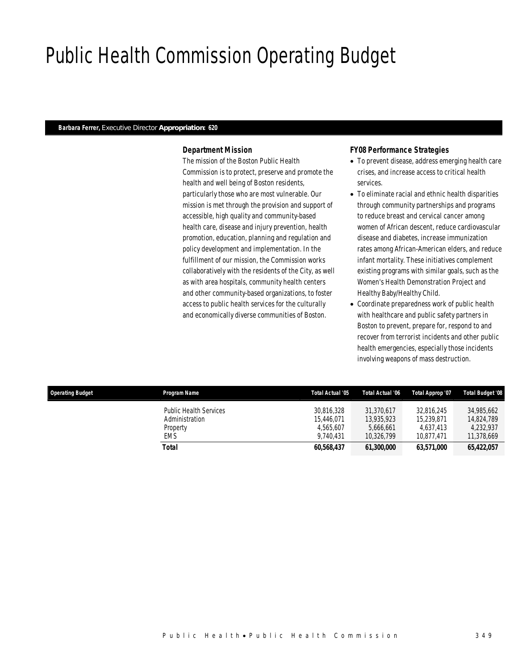## Public Health Commission Operating Budget

### *Barbara Ferrer, Executive Director Appropriation: 620*

## *Department Mission*

The mission of the Boston Public Health Commission is to protect, preserve and promote the health and well being of Boston residents, particularly those who are most vulnerable. Our mission is met through the provision and support of accessible, high quality and community-based health care, disease and injury prevention, health promotion, education, planning and regulation and policy development and implementation. In the fulfillment of our mission, the Commission works collaboratively with the residents of the City, as well as with area hospitals, community health centers and other community-based organizations, to foster access to public health services for the culturally and economically diverse communities of Boston.

## *FY08 Performance Strategies*

- To prevent disease, address emerging health care crises, and increase access to critical health services.
- To eliminate racial and ethnic health disparities through community partnerships and programs to reduce breast and cervical cancer among women of African descent, reduce cardiovascular disease and diabetes, increase immunization rates among African-American elders, and reduce infant mortality. These initiatives complement existing programs with similar goals, such as the Women's Health Demonstration Project and Healthy Baby/Healthy Child.
- Coordinate preparedness work of public health with healthcare and public safety partners in Boston to prevent, prepare for, respond to and recover from terrorist incidents and other public health emergencies, especially those incidents involving weapons of mass destruction.

| <b>Operating Budget</b> | Program Name                                                       | Total Actual '05                                   | Total Actual '06                                    | Total Approp '07                                    | Total Budget '08                                    |
|-------------------------|--------------------------------------------------------------------|----------------------------------------------------|-----------------------------------------------------|-----------------------------------------------------|-----------------------------------------------------|
|                         | <b>Public Health Services</b><br>Administration<br>Property<br>EMS | 30.816.328<br>15.446.071<br>4.565.607<br>9.740.431 | 31.370.617<br>13,935,923<br>5.666.661<br>10.326.799 | 32.816.245<br>15,239,871<br>4.637.413<br>10.877.471 | 34.985.662<br>14.824.789<br>4.232.937<br>11.378.669 |
|                         | Total                                                              | 60.568.437                                         | <i><b>61,300,000</b></i>                            | 63,571,000                                          | 65.422.057                                          |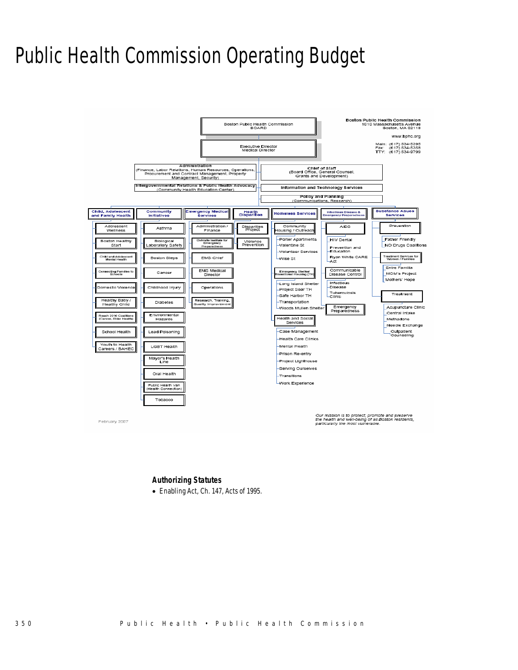## Public Health Commission Operating Budget



### *Authorizing Statutes*

• Enabling Act, Ch. 147, Acts of 1995.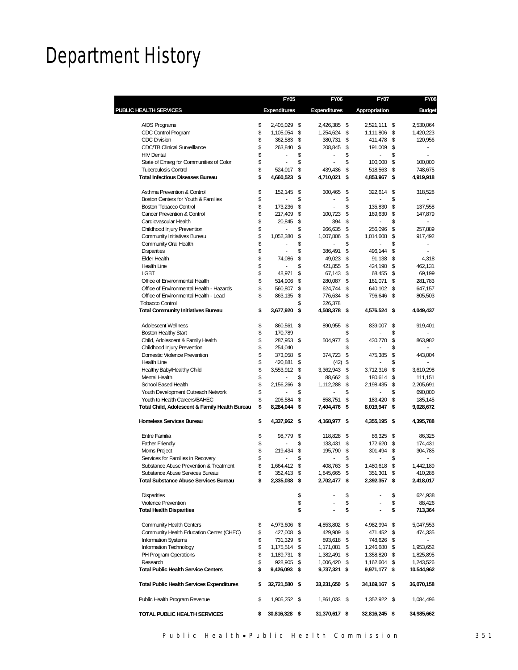## Department History

|                                                                        | <b>FY05</b>         |          | <b>FY06</b>         |          | FY07                 |          | <b>FY08</b>          |
|------------------------------------------------------------------------|---------------------|----------|---------------------|----------|----------------------|----------|----------------------|
| PUBLIC HEALTH SERVICES                                                 | <b>Expenditures</b> |          | <b>Expenditures</b> |          | Appropriation        |          | <b>Budget</b>        |
| AIDS Programs                                                          | \$<br>2,405,029     | \$       | 2,426,385 \$        |          | 2,521,111            | \$       | 2,530,064            |
| CDC Control Program                                                    | \$<br>1,105,054     | \$       | 1,254,624           | \$       | 1,111,806            | \$       | 1,420,223            |
| <b>CDC Division</b>                                                    | \$<br>362,583       | \$       | 380,731             | \$       | 411,478              | \$       | 120,956              |
| <b>CDC/TB Clinical Surveillance</b>                                    | \$<br>263,840       | \$       | 208,845             | \$       | 191,009              | \$       |                      |
| <b>HIV Dental</b>                                                      | \$                  | \$       | ä,                  | \$       |                      | \$       | ÷                    |
|                                                                        | \$<br>÷             | \$       | ÷                   | \$       |                      | \$       |                      |
| State of Emerg for Communities of Color<br><b>Tuberculosis Control</b> | \$<br>524,017       | \$       | 439,436             | \$       | 100,000              | \$       | 100,000              |
| <b>Total Infectious Diseases Bureau</b>                                | \$<br>4,660,523     | \$       | 4,710,021           | \$       | 518,563<br>4,853,967 | \$       | 748,675<br>4,919,918 |
| Asthma Prevention & Control                                            | \$<br>152,145       | \$       | 300,465             | \$       | 322,614              | \$       | 318,528              |
| Boston Centers for Youth & Families                                    | \$                  | \$       |                     | \$       |                      | \$       |                      |
| Boston Tobacco Control                                                 | \$<br>173,236       | \$       |                     | \$       | 135,830              | \$       | 137,558              |
| <b>Cancer Prevention &amp; Control</b>                                 | \$<br>217,409       | \$       | 100,723             | \$       | 169,630              | \$       | 147,879              |
| Cardiovascular Health                                                  | \$<br>20,845        | \$       | 394                 | \$       |                      | \$       |                      |
| Childhood Injury Prevention                                            | \$<br>÷,            | \$       | 266,635             | \$       | 256,096              | \$       | 257,889              |
| <b>Community Initiatives Bureau</b>                                    | \$<br>1,052,380     | \$       | 1,007,806           | \$       | 1,014,608            | \$       | 917,492              |
| <b>Community Oral Health</b>                                           | \$                  | \$       |                     | \$       |                      | \$       |                      |
| <b>Disparities</b>                                                     | \$<br>÷             | \$       | 386,491             | \$       | 496,144              | \$       | $\sim$               |
| <b>Elder Health</b>                                                    | \$<br>74,086        | \$       | 49,023              | \$       | 91,138               | \$       | 4,318                |
| <b>Health Line</b>                                                     | \$                  | \$       | 421,855             | \$       | 424,190              | \$       | 462,131              |
| <b>LGBT</b>                                                            | \$<br>48,971        | \$       | 67,143              |          |                      |          |                      |
| Office of Environmental Health                                         | \$<br>514,906       |          | 280,087             | \$<br>\$ | 68,455               | \$       | 69,199               |
| Office of Environmental Health - Hazards                               | \$                  | \$<br>\$ |                     |          | 161,071              | \$<br>\$ | 281,783              |
|                                                                        | \$<br>560,807       |          | 624,744             | \$       | 640,102              |          | 647,157              |
| Office of Environmental Health - Lead                                  | 863,135             | \$       | 776,634             | \$       | 796,646              | \$       | 805,503              |
| <b>Tobacco Control</b>                                                 |                     | \$       | 226.378             |          |                      |          |                      |
| <b>Total Community Initiatives Bureau</b>                              | \$<br>3,677,920     | \$       | 4,508,378 \$        |          | 4,576,524 \$         |          | 4,049,437            |
| <b>Adolescent Wellness</b>                                             | \$<br>860,561       | \$       | 890,955             | - \$     | 839,007              | \$       | 919,401              |
| <b>Boston Healthy Start</b>                                            | \$<br>170,789       |          |                     | \$       |                      | \$       |                      |
| Child, Adolescent & Family Health                                      | \$<br>287,953 \$    |          | 504,977             | \$       | 430,770              | \$       | 863,982              |
| Childhood Injury Prevention                                            | \$<br>254,040       |          |                     | \$       |                      | \$       | ٠                    |
| Domestic Violence Prevention                                           | \$<br>373,058 \$    |          | 374,723             | \$       | 475,385              | \$       | 443,004              |
| <b>Health Line</b>                                                     | \$<br>420,881       | \$       | $(42)$ \$           |          |                      | \$       |                      |
| Healthy Baby/Healthy Child                                             | \$<br>3,553,912     | \$       | 3,362,943           | \$       | 3,712,316            | \$       | 3,610,298            |
| <b>Mental Health</b>                                                   | \$                  | \$       | 88,662              | \$       | 180,614              | \$       | 111,151              |
| School Based Health                                                    | \$<br>2,156,266     | \$       | 1,112,288           | \$       | 2,198,435            | \$       | 2,205,691            |
| Youth Development Outreach Network                                     | \$                  | \$       |                     | \$       |                      | \$       | 690,000              |
| Youth to Health Careers/BAHEC                                          | \$<br>206,584       | \$       | 858,751             | \$       | 183,420              | \$       | 185,145              |
| Total Child, Adolescent & Family Health Bureau                         | \$<br>8,284,044     | \$       | 7,404,476           | \$       | 8,019,947            | \$       | 9,028,672            |
| <b>Homeless Services Bureau</b>                                        | \$<br>4,337,962 \$  |          | 4,168,977 \$        |          | 4,355,195 \$         |          | 4,395,788            |
| <b>Entre Familia</b>                                                   | \$<br>98.779        | \$       | 118,828             | - \$     | 86,325               | \$       | 86,325               |
| <b>Father Friendly</b>                                                 | \$                  | \$       | 133,431             | \$       | 172,620              | \$       | 174,431              |
| Moms Project                                                           | \$<br>219.434       | \$       | 195,790             | \$       | 301,494              | \$       | 304,785              |
| Services for Families in Recovery                                      | \$                  | \$       |                     | \$       |                      | \$       |                      |
| Substance Abuse Prevention & Treatment                                 | \$<br>1,664,412     | \$       | 408,763             | \$       | 1,480,618            | \$       | 1,442,189            |
| Substance Abuse Services Bureau                                        | 352,413 \$          |          | 1,845,665 \$        |          | 351,301              |          | 410,288              |
| <b>Total Substance Abuse Services Bureau</b>                           | \$<br>2,335,038 \$  |          | 2,702,477 \$        |          | 2,392,357 \$         |          | 2,418,017            |
| <b>Disparities</b>                                                     |                     | \$       |                     | \$       |                      | \$       | 624,938              |
| <b>Violence Prevention</b>                                             |                     | \$       |                     | \$       |                      | \$       | 88,426               |
| <b>Total Health Disparities</b>                                        |                     | \$       |                     | \$       |                      | \$       | 713,364              |
| <b>Community Health Centers</b>                                        | \$<br>4,973,606 \$  |          | 4,853,802 \$        |          | 4,982,994 \$         |          | 5,047,553            |
| Community Health Education Center (CHEC)                               | \$<br>427,008 \$    |          | 429,909 \$          |          | 471,452 \$           |          | 474,335              |
| Information Systems                                                    | \$<br>731,329 \$    |          | 893,618 \$          |          | 748,626 \$           |          |                      |
| Information Technology                                                 | \$<br>1,175,514 \$  |          | 1,171,081 \$        |          | 1,246,680 \$         |          | 1,953,652            |
| PH Program Operations                                                  | \$<br>1,189,731 \$  |          | 1,382,491 \$        |          | 1,358,820 \$         |          | 1,825,895            |
| Research                                                               | \$<br>928,905 \$    |          | 1,006,420 \$        |          | 1,162,604 \$         |          | 1,243,526            |
| <b>Total Public Health Service Centers</b>                             | \$<br>9,426,093 \$  |          | 9,737,321 \$        |          | 9,971,177 \$         |          | 10,544,962           |
| <b>Total Public Health Services Expenditures</b>                       | \$<br>32,721,580 \$ |          | 33,231,650 \$       |          | 34,169,167 \$        |          | 36,070,158           |
| Public Health Program Revenue                                          | \$<br>1,905,252 \$  |          | 1,861,033 \$        |          | 1,352,922 \$         |          | 1,084,496            |
| TOTAL PUBLIC HEALTH SERVICES                                           | \$<br>30,816,328 \$ |          | 31,370,617 \$       |          | 32,816,245 \$        |          | 34,985,662           |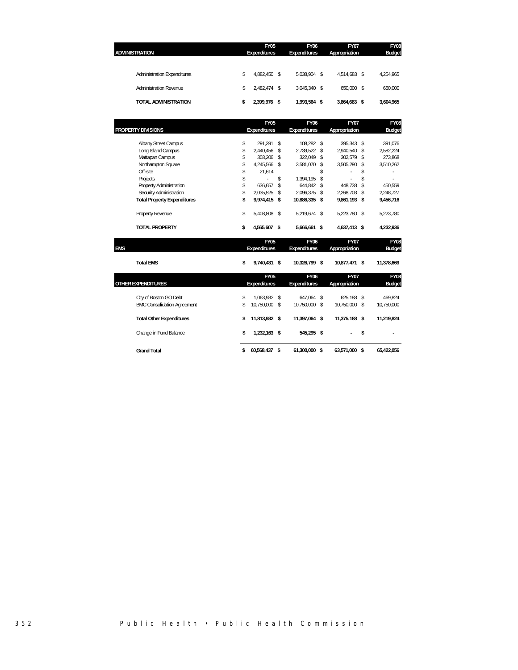| <b>ADMINISTRATION</b> |                                    | <b>FY05</b><br><b>Expenditures</b> | <b>FY06</b><br><b>Expenditures</b> | <b>FY07</b><br>Appropriation |      | <b>FY08</b><br><b>Budget</b> |
|-----------------------|------------------------------------|------------------------------------|------------------------------------|------------------------------|------|------------------------------|
|                       | <b>Administration Expenditures</b> | \$<br>4.882.450 \$                 | 5.038.904 \$                       | 4.514.683                    | \$   | 4,254,965                    |
|                       | Administration Revenue             | \$<br>2.482.474 \$                 | 3.045.340 \$                       | 650.000                      | - \$ | 650,000                      |
|                       | <b>TOTAL ADMINISTRATION</b>        | 2.399.976 \$                       | 1,993,564 \$                       | 3,864,683                    | \$   | 3,604,965                    |
|                       |                                    |                                    |                                    |                              |      |                              |

|     |                                    | <b>FY05</b>                 | <b>FY06</b>                 |      | <b>FY07</b>                  |    | FY08                         |
|-----|------------------------------------|-----------------------------|-----------------------------|------|------------------------------|----|------------------------------|
|     | PROPERTY DIVISIONS                 | <b>Expenditures</b>         | <b>Expenditures</b>         |      | Appropriation                |    | <b>Budget</b>                |
|     | <b>Albany Street Campus</b>        | \$<br>291,391               | \$<br>108,282 \$            |      | 395,343                      | \$ | 391,076                      |
|     | Long Island Campus                 | \$<br>2,440,456             | \$<br>2,739,522             | \$   | 2,940,540                    | \$ | 2,582,224                    |
|     | Mattapan Campus                    | \$<br>303,206 \$            | 322,049                     | \$   | 302,579                      | \$ | 273,868                      |
|     | Northampton Square                 | \$<br>4,245,566 \$          | 3,581,070                   | \$   | 3,505,290                    | \$ | 3,510,262                    |
|     | Off-site                           | \$<br>21,614                |                             | \$   |                              | \$ |                              |
|     | Projects                           | \$                          | \$<br>1,394,195             | \$   |                              | \$ |                              |
|     | Property Administration            | \$<br>636,657               | \$<br>644.842               | \$   | 448,738                      | \$ | 450,559                      |
|     | Security Administration            | \$<br>2,035,525             | \$<br>2,096,375             | \$   | 2,268,703                    | \$ | 2,248,727                    |
|     | <b>Total Property Expenditures</b> | \$<br>9,974,415 \$          | 10,886,335 \$               |      | 9,861,193 \$                 |    | 9,456,716                    |
|     | <b>Property Revenue</b>            | \$<br>5,408,808 \$          | 5,219,674 \$                |      | 5,223,780 \$                 |    | 5,223,780                    |
|     | <b>TOTAL PROPERTY</b>              | \$<br>4,565,607 \$          | 5,666,661 \$                |      | 4,637,413 \$                 |    | 4,232,936                    |
| EMS |                                    | <b>FY05</b><br>Expenditures | <b>FY06</b><br>Expenditures |      | <b>FY07</b><br>Appropriation |    | <b>FY08</b><br><b>Budget</b> |
|     | <b>Total EMS</b>                   | \$<br>9,740,431 \$          | 10,326,799 \$               |      | 10,877,471                   | \$ | 11,378,669                   |
|     |                                    | <b>FY05</b>                 | <b>FY06</b>                 |      | <b>FY07</b>                  |    | <b>FY08</b>                  |
|     | <b>OTHER EXPENDITURES</b>          | <b>Expenditures</b>         | <b>Expenditures</b>         |      | Appropriation                |    | <b>Budget</b>                |
|     | City of Boston GO Debt             | \$<br>1,063,932 \$          | 647,064 \$                  |      | 625,188 \$                   |    | 469,824                      |
|     | <b>BMC Consolidation Agreement</b> | \$<br>10,750,000 \$         | 10,750,000 \$               |      | 10,750,000 \$                |    | 10,750,000                   |
|     | <b>Total Other Expenditures</b>    | \$<br>11,813,932 \$         | 11,397,064 \$               |      | 11,375,188                   | Ŝ. | 11,219,824                   |
|     | Change in Fund Balance             | \$<br>1,232,163 \$          | 545,295 \$                  |      |                              | \$ |                              |
|     | <b>Grand Total</b>                 | \$<br>60,568,437            | \$<br>61,300,000            | - \$ | 63,571,000                   | \$ | 65.422.056                   |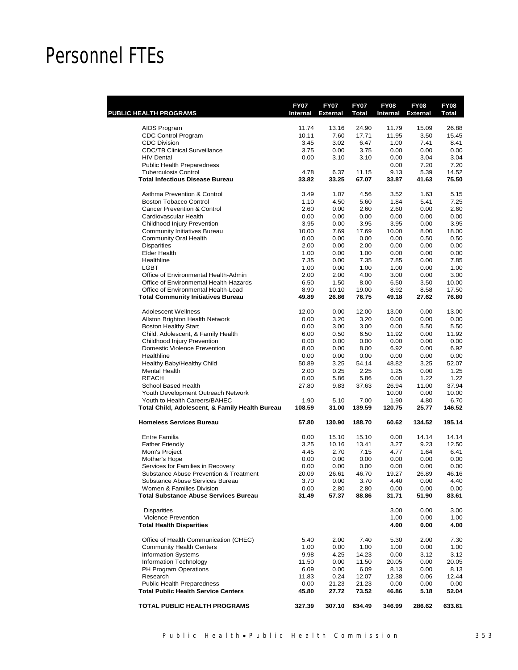## Personnel FTEs

| <b>PUBLIC HEALTH PROGRAMS</b>                                                    | <b>FY07</b><br>Internal | <b>FY07</b><br><b>External</b> | <b>FY07</b><br><b>Total</b> | <b>FY08</b><br>Internal | <b>FY08</b><br><b>External</b> | <b>FY08</b><br>Total |
|----------------------------------------------------------------------------------|-------------------------|--------------------------------|-----------------------------|-------------------------|--------------------------------|----------------------|
|                                                                                  |                         |                                |                             |                         |                                |                      |
| AIDS Program                                                                     | 11.74                   | 13.16                          | 24.90                       | 11.79                   | 15.09                          | 26.88                |
| <b>CDC Control Program</b><br><b>CDC Division</b>                                | 10.11                   | 7.60                           | 17.71                       | 11.95                   | 3.50<br>7.41                   | 15.45<br>8.41        |
| <b>CDC/TB Clinical Surveillance</b>                                              | 3.45<br>3.75            | 3.02<br>0.00                   | 6.47<br>3.75                | 1.00<br>0.00            | 0.00                           | 0.00                 |
| <b>HIV Dental</b>                                                                | 0.00                    | 3.10                           | 3.10                        | 0.00                    | 3.04                           | 3.04                 |
| <b>Public Health Preparedness</b>                                                |                         |                                |                             | 0.00                    | 7.20                           | 7.20                 |
| <b>Tuberculosis Control</b>                                                      | 4.78                    | 6.37                           | 11.15                       | 9.13                    | 5.39                           | 14.52                |
| <b>Total Infectious Disease Bureau</b>                                           | 33.82                   | 33.25                          | 67.07                       | 33.87                   | 41.63                          | 75.50                |
| Asthma Prevention & Control                                                      | 3.49                    | 1.07                           | 4.56                        | 3.52                    | 1.63                           | 5.15                 |
| Boston Tobacco Control                                                           | 1.10                    | 4.50                           | 5.60                        | 1.84                    | 5.41                           | 7.25                 |
| <b>Cancer Prevention &amp; Control</b>                                           | 2.60                    | 0.00                           | 2.60                        | 2.60                    | 0.00                           | 2.60                 |
| Cardiovascular Health                                                            | 0.00                    | 0.00                           | 0.00                        | 0.00                    | 0.00                           | 0.00                 |
| Childhood Injury Prevention                                                      | 3.95                    | 0.00                           | 3.95                        | 3.95                    | 0.00                           | 3.95                 |
| <b>Community Initiatives Bureau</b>                                              | 10.00                   | 7.69                           | 17.69                       | 10.00                   | 8.00                           | 18.00                |
| <b>Community Oral Health</b>                                                     | 0.00                    | 0.00                           | 0.00                        | 0.00                    | 0.50                           | 0.50                 |
| <b>Disparities</b>                                                               | 2.00                    | 0.00                           | 2.00                        | 0.00                    | 0.00                           | 0.00                 |
| <b>Elder Health</b>                                                              | 1.00                    | 0.00                           | 1.00                        | 0.00                    | 0.00                           | 0.00                 |
| Healthline                                                                       | 7.35                    | 0.00                           | 7.35                        | 7.85                    | 0.00                           | 7.85                 |
| <b>LGBT</b>                                                                      | 1.00                    | 0.00                           | 1.00                        | 1.00                    | 0.00                           | 1.00                 |
| Office of Environmental Health-Admin                                             | 2.00                    | 2.00                           | 4.00                        | 3.00                    | 0.00                           | 3.00                 |
| Office of Environmental Health-Hazards                                           | 6.50                    | 1.50                           | 8.00                        | 6.50                    | 3.50                           | 10.00                |
| Office of Environmental Health-Lead                                              | 8.90                    | 10.10                          | 19.00                       | 8.92                    | 8.58                           | 17.50                |
| <b>Total Community Initiatives Bureau</b>                                        | 49.89                   | 26.86                          | 76.75                       | 49.18                   | 27.62                          | 76.80                |
| <b>Adolescent Wellness</b>                                                       | 12.00                   | 0.00                           | 12.00                       | 13.00                   | 0.00                           | 13.00                |
| Allston Brighton Health Network                                                  | 0.00                    | 3.20                           | 3.20                        | 0.00                    | 0.00                           | 0.00                 |
| <b>Boston Healthy Start</b>                                                      | 0.00                    | 3.00                           | 3.00                        | 0.00                    | 5.50                           | 5.50                 |
| Child, Adolescent, & Family Health                                               | 6.00                    | 0.50                           | 6.50                        | 11.92                   | 0.00                           | 11.92                |
| Childhood Injury Prevention                                                      | 0.00                    | 0.00                           | 0.00                        | 0.00                    | 0.00                           | 0.00                 |
| <b>Domestic Violence Prevention</b>                                              | 8.00                    | 0.00                           | 8.00                        | 6.92                    | 0.00                           | 6.92                 |
| Healthline                                                                       | 0.00                    | 0.00                           | 0.00                        | 0.00                    | 0.00                           | 0.00                 |
| Healthy Baby/Healthy Child                                                       | 50.89                   | 3.25                           | 54.14                       | 48.82                   | 3.25                           | 52.07                |
| <b>Mental Health</b>                                                             | 2.00                    | 0.25                           | 2.25                        | 1.25                    | 0.00                           | 1.25                 |
| <b>REACH</b>                                                                     | 0.00                    | 5.86                           | 5.86                        | 0.00                    | 1.22                           | 1.22                 |
| School Based Health                                                              | 27.80                   | 9.83                           | 37.63                       | 26.94                   | 11.00                          | 37.94                |
| Youth Development Outreach Network                                               |                         |                                |                             | 10.00                   | 0.00                           | 10.00                |
| Youth to Health Careers/BAHEC<br>Total Child, Adolescent, & Family Health Bureau | 1.90<br>108.59          | 5.10<br>31.00                  | 7.00<br>139.59              | 1.90<br>120.75          | 4.80<br>25.77                  | 6.70<br>146.52       |
|                                                                                  |                         |                                |                             |                         |                                |                      |
| <b>Homeless Services Bureau</b>                                                  | 57.80                   | 130.90                         | 188.70                      | 60.62                   | 134.52                         | 195.14               |
| Entre Familia                                                                    | 0.00                    | 15.10                          | 15.10                       | 0.00                    | 14.14                          | 14.14                |
| <b>Father Friendly</b>                                                           | 3.25                    | 10.16                          | 13.41                       | 3.27                    | 9.23                           | 12.50                |
| Mom's Project                                                                    | 4.45                    | 2.70                           | 7.15                        | 4.77                    | 1.64                           | 6.41                 |
| Mother's Hope                                                                    | 0.00                    | 0.00                           | 0.00                        | 0.00                    | 0.00                           | 0.00                 |
| Services for Families in Recovery                                                | 0.00                    | 0.00                           | 0.00                        | 0.00                    | 0.00                           | 0.00                 |
| Substance Abuse Prevention & Treatment                                           | 20.09                   | 26.61                          | 46.70                       | 19.27                   | 26.89                          | 46.16                |
| Substance Abuse Services Bureau                                                  | 3.70                    | 0.00                           | 3.70                        | 4.40                    | 0.00                           | 4.40                 |
| Women & Families Division<br><b>Total Substance Abuse Services Bureau</b>        | 0.00<br>31.49           | 2.80<br>57.37                  | 2.80<br>88.86               | 0.00<br>31.71           | 0.00<br>51.90                  | 0.00<br>83.61        |
|                                                                                  |                         |                                |                             |                         |                                |                      |
| <b>Disparities</b>                                                               |                         |                                |                             | 3.00                    | 0.00                           | 3.00                 |
| <b>Violence Prevention</b>                                                       |                         |                                |                             | 1.00                    | 0.00                           | 1.00                 |
| <b>Total Health Disparities</b>                                                  |                         |                                |                             | 4.00                    | 0.00                           | 4.00                 |
| Office of Health Communication (CHEC)                                            | 5.40                    | 2.00                           | 7.40                        | 5.30                    | 2.00                           | 7.30                 |
| <b>Community Health Centers</b>                                                  | 1.00                    | 0.00                           | 1.00                        | 1.00                    | 0.00                           | 1.00                 |
| <b>Information Systems</b>                                                       | 9.98                    | 4.25                           | 14.23                       | 0.00                    | 3.12                           | 3.12                 |
| Information Technology                                                           | 11.50                   | 0.00                           | 11.50                       | 20.05                   | 0.00                           | 20.05                |
| PH Program Operations                                                            | 6.09                    | 0.00                           | 6.09                        | 8.13                    | 0.00                           | 8.13                 |
| Research                                                                         | 11.83                   | 0.24                           | 12.07                       | 12.38                   | 0.06                           | 12.44                |
| Public Health Preparedness                                                       | 0.00                    | 21.23                          | 21.23                       | 0.00                    | 0.00                           | 0.00                 |
| <b>Total Public Health Service Centers</b>                                       | 45.80                   | 27.72                          | 73.52                       | 46.86                   | 5.18                           | 52.04                |
| TOTAL PUBLIC HEALTH PROGRAMS                                                     | 327.39                  | 307.10                         | 634.49                      | 346.99                  | 286.62                         | 633.61               |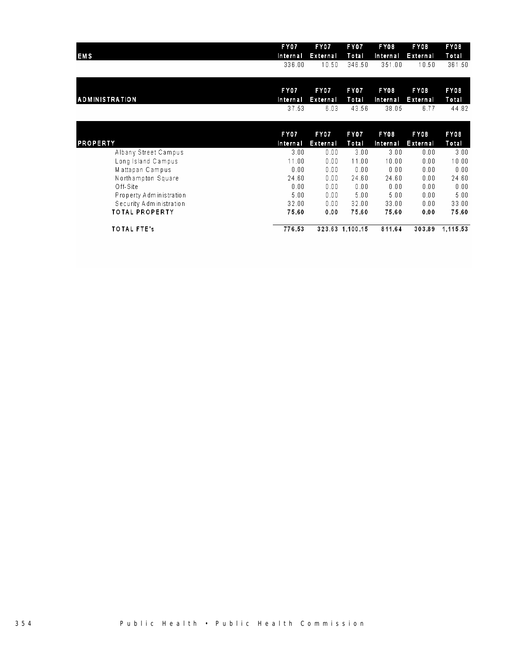| <b>EMS</b>              | <b>FY07</b> | FY07     | FY07            | FY08     | F Y 08          | FY08     |
|-------------------------|-------------|----------|-----------------|----------|-----------------|----------|
|                         | Internal    | External | Total           | Internal | <b>External</b> | Total    |
|                         | 336.00      | 10.50    | 346.50          | 351.00   | 10.50           | 361.50   |
|                         | <b>FY07</b> | FY07     | FY07            | FY08     | F Y 08          | FY08     |
| <b>ADMINISTRATION</b>   | Internal    | External | Total           | Internal | External        | Total    |
|                         | 37.53       | 6.03     | 43.56           | 38.05    | 6.77            | 44.82    |
| <b>PROPERTY</b>         | <b>FY07</b> | FY07     | FY07            | FY08     | FY08            | FY08     |
|                         | Internal    | External | Total           | Internal | External        | Total    |
| Albany Street Campus    | 3.00        | 0.00     | 3.00            | 3.00     | 0.00            | 3.00     |
| Long Island Campus      | 11.00       | 0.00     | 11.00           | 10.00    | 0.00            | 10.00    |
| Mattapan Campus         | 0.00        | 0.00     | 0.00            | 0.00     | 0.00            | 0.00     |
| Northampton Square      | 24.60       | 0.00     | 24.60           | 24.60    | 0.00            | 24.60    |
| Off-Site                | 0.00        | 0.00     | 0.00            | 0.00     | 0.00            | 0.00     |
| Property Administration | 5.00        | 0.00     | 5.00            | 5.00     | 0.00            | 5.00     |
| Security Administration | 32.00       | 0.00     | 32.00           | 33.00    | 0.00            | 33.00    |
| <b>TOTAL PROPERTY</b>   | 75.60       | 0.00     | 75.60           | 75.60    | 0.00            | 75.60    |
| <b>TOTAL FTE's</b>      | 776.53      |          | 323.63 1.100.15 | 811.64   | 303.89          | 1,115.53 |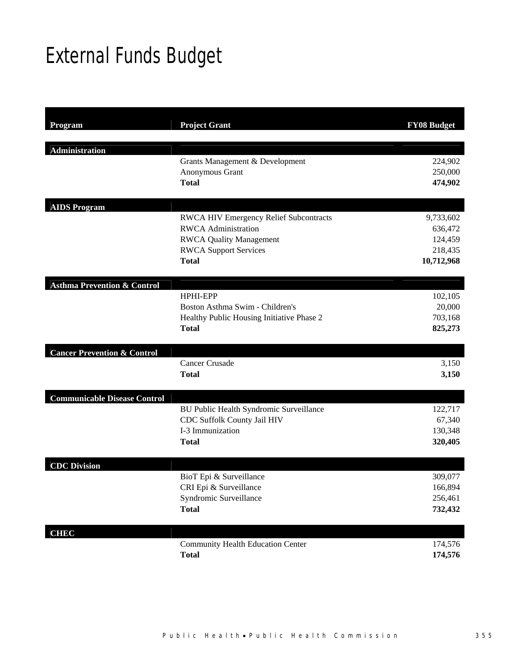# External Funds Budget

| Program                                | <b>Project Grant</b>                                      | <b>FY08 Budget</b> |
|----------------------------------------|-----------------------------------------------------------|--------------------|
| <b>Administration</b>                  |                                                           |                    |
|                                        | Grants Management & Development                           | 224,902            |
|                                        | Anonymous Grant                                           | 250,000            |
|                                        | <b>Total</b>                                              | 474,902            |
| <b>AIDS Program</b>                    |                                                           |                    |
|                                        | <b>RWCA HIV Emergency Relief Subcontracts</b>             | 9,733,602          |
|                                        | <b>RWCA</b> Administration                                | 636,472            |
|                                        | <b>RWCA Quality Management</b>                            | 124,459            |
|                                        | <b>RWCA Support Services</b>                              | 218,435            |
|                                        | <b>Total</b>                                              | 10,712,968         |
| <b>Asthma Prevention &amp; Control</b> |                                                           |                    |
|                                        | HPHI-EPP                                                  | 102,105            |
|                                        | Boston Asthma Swim - Children's                           | 20,000             |
|                                        | Healthy Public Housing Initiative Phase 2<br><b>Total</b> | 703,168            |
|                                        |                                                           | 825,273            |
| <b>Cancer Prevention &amp; Control</b> |                                                           |                    |
|                                        | <b>Cancer Crusade</b>                                     | 3,150              |
|                                        | <b>Total</b>                                              | 3,150              |
| <b>Communicable Disease Control</b>    |                                                           |                    |
|                                        | BU Public Health Syndromic Surveillance                   | 122,717            |
|                                        | CDC Suffolk County Jail HIV                               | 67,340             |
|                                        | I-3 Immunization                                          | 130,348            |
|                                        | <b>Total</b>                                              | 320,405            |
| <b>CDC</b> Division                    |                                                           |                    |
|                                        | BioT Epi & Surveillance                                   | 309,077            |
|                                        | CRI Epi & Surveillance                                    | 166,894            |
|                                        | Syndromic Surveillance                                    | 256,461            |
|                                        | <b>Total</b>                                              | 732,432            |
| <b>CHEC</b>                            |                                                           |                    |
|                                        | <b>Community Health Education Center</b>                  | 174,576            |
|                                        | <b>Total</b>                                              | 174,576            |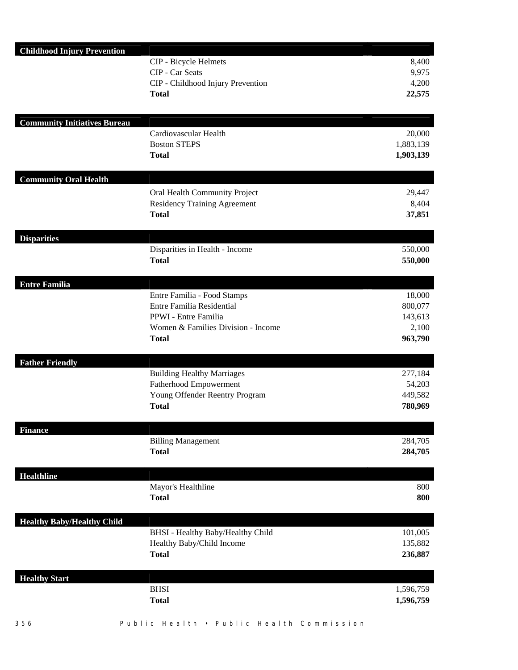| <b>Childhood Injury Prevention</b>  |                                                |                    |
|-------------------------------------|------------------------------------------------|--------------------|
|                                     | CIP - Bicycle Helmets                          | 8,400              |
|                                     | CIP - Car Seats                                | 9,975              |
|                                     | CIP - Childhood Injury Prevention              | 4,200              |
|                                     | <b>Total</b>                                   | 22,575             |
|                                     |                                                |                    |
| <b>Community Initiatives Bureau</b> |                                                |                    |
|                                     | Cardiovascular Health                          | 20,000             |
|                                     | <b>Boston STEPS</b>                            | 1,883,139          |
|                                     | <b>Total</b>                                   | 1,903,139          |
| <b>Community Oral Health</b>        |                                                |                    |
|                                     | Oral Health Community Project                  | 29,447             |
|                                     | <b>Residency Training Agreement</b>            | 8,404              |
|                                     | <b>Total</b>                                   | 37,851             |
|                                     |                                                |                    |
| <b>Disparities</b>                  |                                                |                    |
|                                     | Disparities in Health - Income<br><b>Total</b> | 550,000<br>550,000 |
|                                     |                                                |                    |
| <b>Entre Familia</b>                |                                                |                    |
|                                     | Entre Familia - Food Stamps                    | 18,000             |
|                                     | Entre Familia Residential                      | 800,077            |
|                                     | PPWI - Entre Familia                           | 143,613            |
|                                     | Women & Families Division - Income             | 2,100              |
|                                     | <b>Total</b>                                   | 963,790            |
| <b>Father Friendly</b>              |                                                |                    |
|                                     | <b>Building Healthy Marriages</b>              | 277,184            |
|                                     | Fatherhood Empowerment                         | 54,203             |
|                                     | Young Offender Reentry Program                 | 449,582            |
|                                     | <b>Total</b>                                   | 780,969            |
|                                     |                                                |                    |
| <b>Finance</b>                      | <b>Billing Management</b>                      | 284,705            |
|                                     | <b>Total</b>                                   | 284,705            |
|                                     |                                                |                    |
| <b>Healthline</b>                   |                                                |                    |
|                                     | Mayor's Healthline                             | 800                |
|                                     | <b>Total</b>                                   | 800                |
| <b>Healthy Baby/Healthy Child</b>   |                                                |                    |
|                                     | BHSI - Healthy Baby/Healthy Child              | 101,005            |
|                                     | Healthy Baby/Child Income                      | 135,882            |
|                                     | <b>Total</b>                                   | 236,887            |
|                                     |                                                |                    |
| <b>Healthy Start</b>                |                                                |                    |
|                                     | <b>BHSI</b>                                    | 1,596,759          |
|                                     | <b>Total</b>                                   | 1,596,759          |
|                                     |                                                |                    |

<sup>356</sup> Public Health • Pub lic Health Commission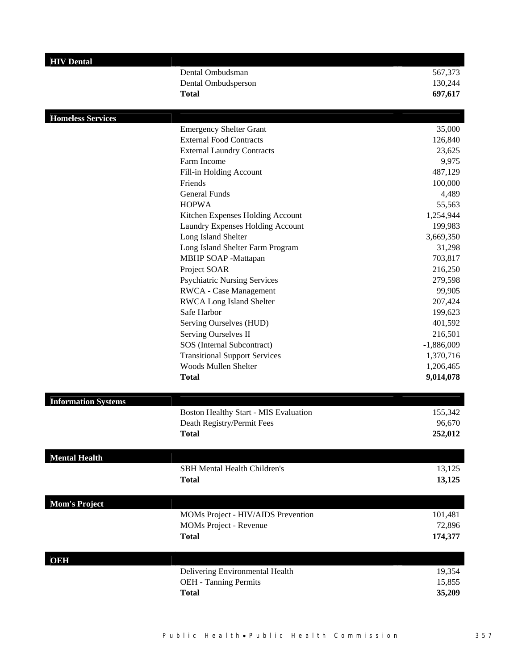| <b>HIV</b> Dental          |                                       |              |
|----------------------------|---------------------------------------|--------------|
|                            | Dental Ombudsman                      | 567,373      |
|                            | Dental Ombudsperson                   | 130,244      |
|                            | <b>Total</b>                          | 697,617      |
|                            |                                       |              |
| <b>Homeless Services</b>   |                                       |              |
|                            | <b>Emergency Shelter Grant</b>        | 35,000       |
|                            | <b>External Food Contracts</b>        | 126,840      |
|                            | <b>External Laundry Contracts</b>     | 23,625       |
|                            | Farm Income                           | 9,975        |
|                            | Fill-in Holding Account               | 487,129      |
|                            | Friends                               | 100,000      |
|                            | General Funds                         | 4,489        |
|                            | <b>HOPWA</b>                          | 55,563       |
|                            | Kitchen Expenses Holding Account      | 1,254,944    |
|                            | Laundry Expenses Holding Account      | 199,983      |
|                            | Long Island Shelter                   | 3,669,350    |
|                            | Long Island Shelter Farm Program      | 31,298       |
|                            | MBHP SOAP -Mattapan                   | 703,817      |
|                            | Project SOAR                          | 216,250      |
|                            | <b>Psychiatric Nursing Services</b>   | 279,598      |
|                            | RWCA - Case Management                | 99,905       |
|                            | <b>RWCA Long Island Shelter</b>       | 207,424      |
|                            | Safe Harbor                           | 199,623      |
|                            | Serving Ourselves (HUD)               | 401,592      |
|                            | Serving Ourselves II                  | 216,501      |
|                            | SOS (Internal Subcontract)            | $-1,886,009$ |
|                            | <b>Transitional Support Services</b>  | 1,370,716    |
|                            | Woods Mullen Shelter                  | 1,206,465    |
|                            | <b>Total</b>                          | 9,014,078    |
| <b>Information Systems</b> |                                       |              |
|                            | Boston Healthy Start - MIS Evaluation | 155,342      |
|                            | Death Registry/Permit Fees            | 96,670       |
|                            | <b>Total</b>                          | 252,012      |
|                            |                                       |              |
| <b>Mental Health</b>       |                                       |              |
|                            | <b>SBH Mental Health Children's</b>   | 13,125       |
|                            | <b>Total</b>                          | 13,125       |
|                            |                                       |              |
| <b>Mom's Project</b>       |                                       |              |
|                            | MOMs Project - HIV/AIDS Prevention    | 101,481      |
|                            | MOMs Project - Revenue                | 72,896       |
|                            | <b>Total</b>                          | 174,377      |
|                            |                                       |              |
| OEH                        |                                       |              |
|                            | Delivering Environmental Health       | 19,354       |
|                            | <b>OEH</b> - Tanning Permits          | 15,855       |
|                            | <b>Total</b>                          | 35,209       |
|                            |                                       |              |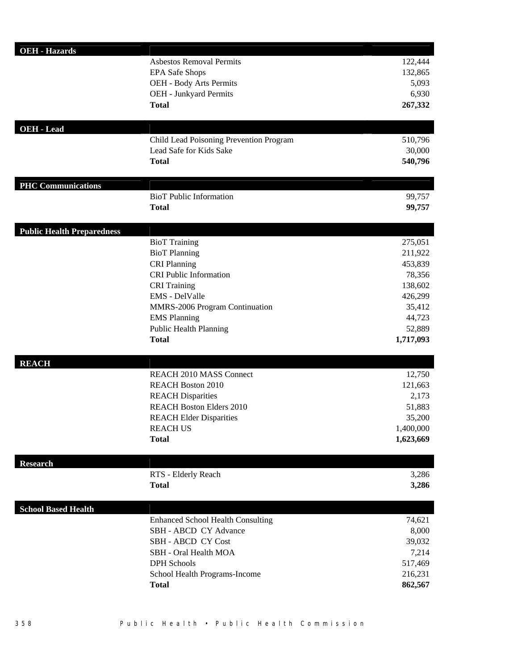| <b>OEH - Hazards</b>              |                                                       |                  |
|-----------------------------------|-------------------------------------------------------|------------------|
|                                   | <b>Asbestos Removal Permits</b>                       | 122,444          |
|                                   | <b>EPA Safe Shops</b>                                 | 132,865          |
|                                   | OEH - Body Arts Permits                               | 5,093            |
|                                   | OEH - Junkyard Permits                                | 6,930            |
|                                   | <b>Total</b>                                          | 267,332          |
| <b>OEH</b> - Lead                 |                                                       |                  |
|                                   | Child Lead Poisoning Prevention Program               | 510,796          |
|                                   | Lead Safe for Kids Sake                               | 30,000           |
|                                   | <b>Total</b>                                          | 540,796          |
| <b>PHC Communications</b>         |                                                       |                  |
|                                   | <b>BioT</b> Public Information                        | 99,757           |
|                                   | <b>Total</b>                                          | 99,757           |
| <b>Public Health Preparedness</b> |                                                       |                  |
|                                   | <b>BioT</b> Training                                  | 275,051          |
|                                   | <b>BioT</b> Planning                                  | 211,922          |
|                                   | <b>CRI Planning</b>                                   | 453,839          |
|                                   | <b>CRI Public Information</b>                         | 78,356           |
|                                   | <b>CRI</b> Training                                   | 138,602          |
|                                   | <b>EMS</b> - DelValle                                 | 426,299          |
|                                   | MMRS-2006 Program Continuation<br><b>EMS</b> Planning | 35,412<br>44,723 |
|                                   | Public Health Planning                                | 52,889           |
|                                   | <b>Total</b>                                          | 1,717,093        |
| <b>REACH</b>                      |                                                       |                  |
|                                   | <b>REACH 2010 MASS Connect</b>                        | 12,750           |
|                                   | <b>REACH Boston 2010</b>                              | 121,663          |
|                                   | <b>REACH Disparities</b>                              | 2,173            |
|                                   | <b>REACH Boston Elders 2010</b>                       | 51,883           |
|                                   | <b>REACH Elder Disparities</b>                        | 35,200           |
|                                   | <b>REACH US</b>                                       | 1,400,000        |
|                                   | <b>Total</b>                                          | 1,623,669        |
| <b>Research</b>                   |                                                       |                  |
|                                   | RTS - Elderly Reach                                   | 3,286            |
|                                   | <b>Total</b>                                          | 3,286            |
| <b>School Based Health</b>        |                                                       |                  |
|                                   | <b>Enhanced School Health Consulting</b>              | 74,621           |
|                                   | SBH - ABCD CY Advance                                 | 8,000            |
|                                   | <b>SBH - ABCD CY Cost</b>                             | 39,032           |
|                                   | SBH - Oral Health MOA                                 | 7,214            |
|                                   | <b>DPH</b> Schools                                    | 517,469          |
|                                   | School Health Programs-Income                         | 216,231          |
|                                   | <b>Total</b>                                          | 862,567          |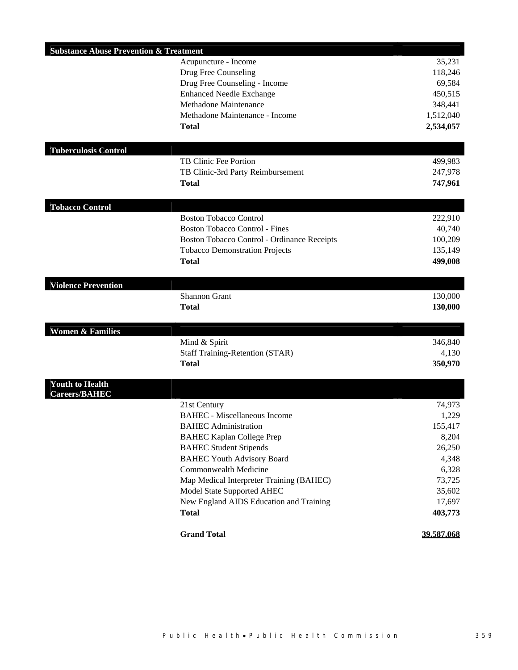| <b>Substance Abuse Prevention &amp; Treatment</b> |                                             |            |
|---------------------------------------------------|---------------------------------------------|------------|
|                                                   | Acupuncture - Income                        | 35,231     |
|                                                   | Drug Free Counseling                        | 118,246    |
|                                                   | Drug Free Counseling - Income               | 69,584     |
|                                                   | <b>Enhanced Needle Exchange</b>             | 450,515    |
|                                                   | <b>Methadone Maintenance</b>                | 348,441    |
|                                                   | Methadone Maintenance - Income              | 1,512,040  |
|                                                   | <b>Total</b>                                | 2,534,057  |
|                                                   |                                             |            |
| <b>Tuberculosis Control</b>                       |                                             |            |
|                                                   | TB Clinic Fee Portion                       | 499,983    |
|                                                   | TB Clinic-3rd Party Reimbursement           | 247,978    |
|                                                   | <b>Total</b>                                | 747,961    |
| <b>Tobacco Control</b>                            |                                             |            |
|                                                   | <b>Boston Tobacco Control</b>               | 222,910    |
|                                                   | <b>Boston Tobacco Control - Fines</b>       | 40,740     |
|                                                   | Boston Tobacco Control - Ordinance Receipts | 100,209    |
|                                                   | <b>Tobacco Demonstration Projects</b>       | 135,149    |
|                                                   | <b>Total</b>                                | 499,008    |
|                                                   |                                             |            |
| <b>Violence Prevention</b>                        |                                             |            |
|                                                   | <b>Shannon Grant</b>                        | 130,000    |
|                                                   | <b>Total</b>                                | 130,000    |
| <b>Women &amp; Families</b>                       |                                             |            |
|                                                   | Mind & Spirit                               | 346,840    |
|                                                   | <b>Staff Training-Retention (STAR)</b>      | 4,130      |
|                                                   | <b>Total</b>                                | 350,970    |
|                                                   |                                             |            |
| <b>Youth to Health</b><br><b>Careers/BAHEC</b>    |                                             |            |
|                                                   | 21st Century                                | 74,973     |
|                                                   | <b>BAHEC</b> - Miscellaneous Income         | 1,229      |
|                                                   | <b>BAHEC</b> Administration                 | 155,417    |
|                                                   | <b>BAHEC Kaplan College Prep</b>            | 8,204      |
|                                                   | <b>BAHEC Student Stipends</b>               | 26,250     |
|                                                   | <b>BAHEC Youth Advisory Board</b>           | 4,348      |
|                                                   | Commonwealth Medicine                       | 6,328      |
|                                                   | Map Medical Interpreter Training (BAHEC)    | 73,725     |
|                                                   | Model State Supported AHEC                  | 35,602     |
|                                                   | New England AIDS Education and Training     | 17,697     |
|                                                   | <b>Total</b>                                | 403,773    |
|                                                   |                                             |            |
|                                                   | <b>Grand Total</b>                          | 39,587,068 |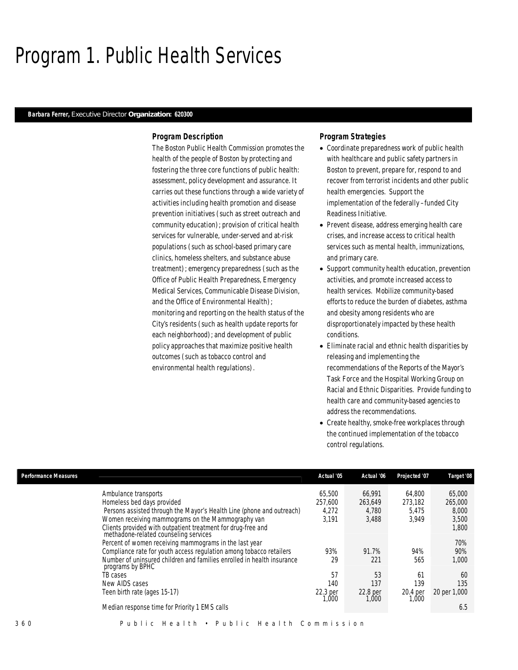## Program 1. Public Health Services

### *Barbara Ferrer, Executive Director Organization: 620300*

### *Program Description*

The Boston Public Health Commission promotes the health of the people of Boston by protecting and fostering the three core functions of public health: assessment, policy development and assurance. It carries out these functions through a wide variety of activities including health promotion and disease prevention initiatives (such as street outreach and community education); provision of critical health services for vulnerable, under-served and at-risk populations (such as school-based primary care clinics, homeless shelters, and substance abuse treatment); emergency preparedness (such as the Office of Public Health Preparedness, Emergency Medical Services, Communicable Disease Division, and the Office of Environmental Health); monitoring and reporting on the health status of the City's residents (such as health update reports for each neighborhood); and development of public policy approaches that maximize positive health outcomes (such as tobacco control and environmental health regulations).

### *Program Strategies*

- Coordinate preparedness work of public health with healthcare and public safety partners in Boston to prevent, prepare for, respond to and recover from terrorist incidents and other public health emergencies. Support the implementation of the federally –funded City Readiness Initiative.
- Prevent disease, address emerging health care crises, and increase access to critical health services such as mental health, immunizations, and primary care.
- Support community health education, prevention activities, and promote increased access to health services. Mobilize community-based efforts to reduce the burden of diabetes, asthma and obesity among residents who are disproportionately impacted by these health conditions.
- Eliminate racial and ethnic health disparities by releasing and implementing the recommendations of the Reports of the Mayor's Task Force and the Hospital Working Group on Racial and Ethnic Disparities. Provide funding to health care and community-based agencies to address the recommendations.
- Create healthy, smoke-free workplaces through the continued implementation of the tobacco control regulations.

| <b>Performance Measures</b>                                                                           | Actual '05        | Actual '06         | Projected '07     | Target '08   |
|-------------------------------------------------------------------------------------------------------|-------------------|--------------------|-------------------|--------------|
| Ambulance transports                                                                                  | 65,500            | 66,991             | 64.800            | 65,000       |
| Homeless bed days provided                                                                            | 257.600           | 263,649            | 273,182           | 265,000      |
| Persons assisted through the Mayor's Health Line (phone and outreach)                                 | 4,272             | 4,780              | 5,475             | 8,000        |
| Women receiving mammograms on the Mammography van                                                     | 3.191             | 3,488              | 3.949             | 3,500        |
| Clients provided with outpatient treatment for drug-free and<br>methadone-related counseling services |                   |                    |                   | 1,800        |
| Percent of women receiving mammograms in the last year                                                |                   |                    |                   | 70%          |
| Compliance rate for youth access regulation among tobacco retailers                                   | 93%               | 91.7%              | 94%               | 90%          |
| Number of uninsured children and families enrolled in health insurance<br>programs by BPHC            | 29                | 221                | 565               | 1,000        |
| TB cases                                                                                              | 57                | 53                 | 61                | 60           |
| New AIDS cases                                                                                        | 140               | 137                | 139               | 135          |
| Teen birth rate (ages 15-17)                                                                          | 22.3 per<br>1.000 | 22.8 per<br>000, I | 20.4 per<br>1,000 | 20 per 1,000 |
| Median response time for Priority 1 EMS calls                                                         |                   |                    |                   | 6.5          |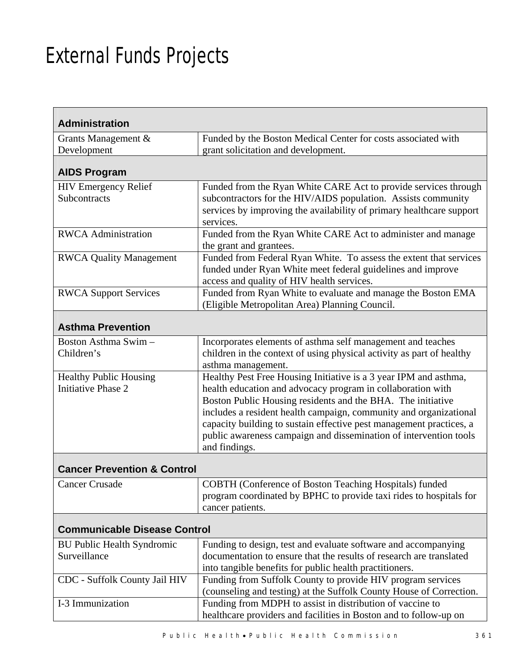# External Funds Projects

Н

| <b>Administration</b>                               |                                                                                                                                                                                                                                                                                                                                                                                                                                  |  |
|-----------------------------------------------------|----------------------------------------------------------------------------------------------------------------------------------------------------------------------------------------------------------------------------------------------------------------------------------------------------------------------------------------------------------------------------------------------------------------------------------|--|
| Grants Management &                                 | Funded by the Boston Medical Center for costs associated with                                                                                                                                                                                                                                                                                                                                                                    |  |
| Development                                         | grant solicitation and development.                                                                                                                                                                                                                                                                                                                                                                                              |  |
| <b>AIDS Program</b>                                 |                                                                                                                                                                                                                                                                                                                                                                                                                                  |  |
| <b>HIV Emergency Relief</b><br>Subcontracts         | Funded from the Ryan White CARE Act to provide services through<br>subcontractors for the HIV/AIDS population. Assists community<br>services by improving the availability of primary healthcare support<br>services.                                                                                                                                                                                                            |  |
| <b>RWCA</b> Administration                          | Funded from the Ryan White CARE Act to administer and manage<br>the grant and grantees.                                                                                                                                                                                                                                                                                                                                          |  |
| <b>RWCA Quality Management</b>                      | Funded from Federal Ryan White. To assess the extent that services<br>funded under Ryan White meet federal guidelines and improve<br>access and quality of HIV health services.                                                                                                                                                                                                                                                  |  |
| <b>RWCA Support Services</b>                        | Funded from Ryan White to evaluate and manage the Boston EMA<br>(Eligible Metropolitan Area) Planning Council.                                                                                                                                                                                                                                                                                                                   |  |
| <b>Asthma Prevention</b>                            |                                                                                                                                                                                                                                                                                                                                                                                                                                  |  |
| Boston Asthma Swim -                                | Incorporates elements of asthma self management and teaches                                                                                                                                                                                                                                                                                                                                                                      |  |
| Children's                                          | children in the context of using physical activity as part of healthy<br>asthma management.                                                                                                                                                                                                                                                                                                                                      |  |
| <b>Healthy Public Housing</b><br>Initiative Phase 2 | Healthy Pest Free Housing Initiative is a 3 year IPM and asthma,<br>health education and advocacy program in collaboration with<br>Boston Public Housing residents and the BHA. The initiative<br>includes a resident health campaign, community and organizational<br>capacity building to sustain effective pest management practices, a<br>public awareness campaign and dissemination of intervention tools<br>and findings. |  |
| <b>Cancer Prevention &amp; Control</b>              |                                                                                                                                                                                                                                                                                                                                                                                                                                  |  |
| <b>Cancer Crusade</b>                               | COBTH (Conference of Boston Teaching Hospitals) funded<br>program coordinated by BPHC to provide taxi rides to hospitals for<br>cancer patients.                                                                                                                                                                                                                                                                                 |  |
| <b>Communicable Disease Control</b>                 |                                                                                                                                                                                                                                                                                                                                                                                                                                  |  |
| <b>BU Public Health Syndromic</b><br>Surveillance   | Funding to design, test and evaluate software and accompanying<br>documentation to ensure that the results of research are translated<br>into tangible benefits for public health practitioners.                                                                                                                                                                                                                                 |  |
| CDC - Suffolk County Jail HIV                       | Funding from Suffolk County to provide HIV program services<br>(counseling and testing) at the Suffolk County House of Correction.                                                                                                                                                                                                                                                                                               |  |
| I-3 Immunization                                    | Funding from MDPH to assist in distribution of vaccine to<br>healthcare providers and facilities in Boston and to follow-up on                                                                                                                                                                                                                                                                                                   |  |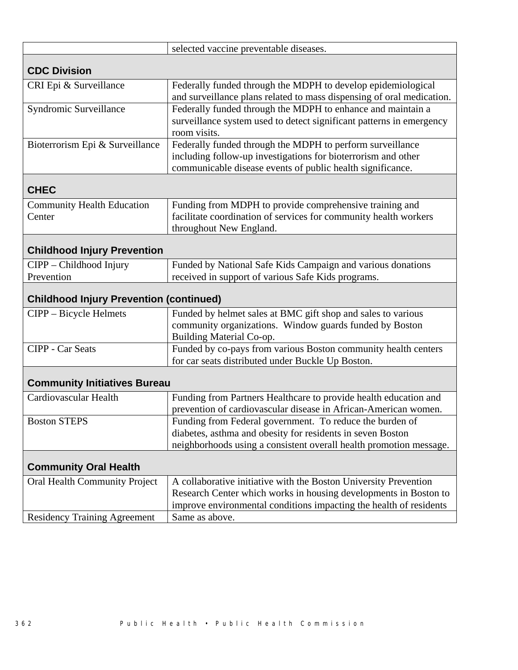|                                                                             | selected vaccine preventable diseases.                                                                                                                                                                                                                          |  |
|-----------------------------------------------------------------------------|-----------------------------------------------------------------------------------------------------------------------------------------------------------------------------------------------------------------------------------------------------------------|--|
| <b>CDC Division</b>                                                         |                                                                                                                                                                                                                                                                 |  |
| CRI Epi & Surveillance                                                      | Federally funded through the MDPH to develop epidemiological<br>and surveillance plans related to mass dispensing of oral medication.                                                                                                                           |  |
| Syndromic Surveillance                                                      | Federally funded through the MDPH to enhance and maintain a<br>surveillance system used to detect significant patterns in emergency<br>room visits.                                                                                                             |  |
| Bioterrorism Epi & Surveillance                                             | Federally funded through the MDPH to perform surveillance<br>including follow-up investigations for bioterrorism and other<br>communicable disease events of public health significance.                                                                        |  |
| <b>CHEC</b>                                                                 |                                                                                                                                                                                                                                                                 |  |
| <b>Community Health Education</b><br>Center                                 | Funding from MDPH to provide comprehensive training and<br>facilitate coordination of services for community health workers<br>throughout New England.                                                                                                          |  |
| <b>Childhood Injury Prevention</b>                                          |                                                                                                                                                                                                                                                                 |  |
| CIPP - Childhood Injury<br>Prevention                                       | Funded by National Safe Kids Campaign and various donations<br>received in support of various Safe Kids programs.                                                                                                                                               |  |
| <b>Childhood Injury Prevention (continued)</b>                              |                                                                                                                                                                                                                                                                 |  |
|                                                                             |                                                                                                                                                                                                                                                                 |  |
| CIPP - Bicycle Helmets                                                      | Funded by helmet sales at BMC gift shop and sales to various<br>community organizations. Window guards funded by Boston                                                                                                                                         |  |
| <b>CIPP</b> - Car Seats                                                     | Building Material Co-op.<br>Funded by co-pays from various Boston community health centers<br>for car seats distributed under Buckle Up Boston.                                                                                                                 |  |
| <b>Community Initiatives Bureau</b>                                         |                                                                                                                                                                                                                                                                 |  |
| Cardiovascular Health                                                       | Funding from Partners Healthcare to provide health education and                                                                                                                                                                                                |  |
| <b>Boston STEPS</b>                                                         | prevention of cardiovascular disease in African-American women.<br>Funding from Federal government. To reduce the burden of<br>diabetes, asthma and obesity for residents in seven Boston<br>neighborhoods using a consistent overall health promotion message. |  |
| <b>Community Oral Health</b>                                                |                                                                                                                                                                                                                                                                 |  |
| <b>Oral Health Community Project</b><br><b>Residency Training Agreement</b> | A collaborative initiative with the Boston University Prevention<br>Research Center which works in housing developments in Boston to<br>improve environmental conditions impacting the health of residents<br>Same as above.                                    |  |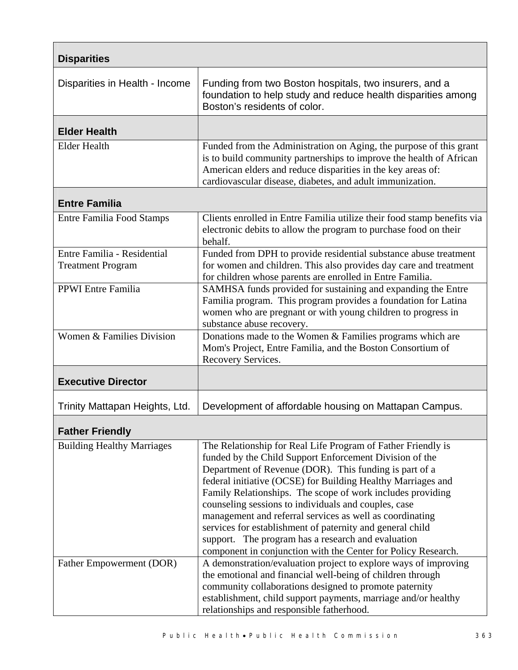| <b>Disparities</b>                                      |                                                                                                                                                                                                                                                                                                                                                                                                                                                                                                                                                                                                                         |  |
|---------------------------------------------------------|-------------------------------------------------------------------------------------------------------------------------------------------------------------------------------------------------------------------------------------------------------------------------------------------------------------------------------------------------------------------------------------------------------------------------------------------------------------------------------------------------------------------------------------------------------------------------------------------------------------------------|--|
| Disparities in Health - Income                          | Funding from two Boston hospitals, two insurers, and a<br>foundation to help study and reduce health disparities among<br>Boston's residents of color.                                                                                                                                                                                                                                                                                                                                                                                                                                                                  |  |
| <b>Elder Health</b>                                     |                                                                                                                                                                                                                                                                                                                                                                                                                                                                                                                                                                                                                         |  |
| <b>Elder Health</b>                                     | Funded from the Administration on Aging, the purpose of this grant<br>is to build community partnerships to improve the health of African<br>American elders and reduce disparities in the key areas of:<br>cardiovascular disease, diabetes, and adult immunization.                                                                                                                                                                                                                                                                                                                                                   |  |
| <b>Entre Familia</b>                                    |                                                                                                                                                                                                                                                                                                                                                                                                                                                                                                                                                                                                                         |  |
| <b>Entre Familia Food Stamps</b>                        | Clients enrolled in Entre Familia utilize their food stamp benefits via<br>electronic debits to allow the program to purchase food on their<br>behalf.                                                                                                                                                                                                                                                                                                                                                                                                                                                                  |  |
| Entre Familia - Residential<br><b>Treatment Program</b> | Funded from DPH to provide residential substance abuse treatment<br>for women and children. This also provides day care and treatment<br>for children whose parents are enrolled in Entre Familia.                                                                                                                                                                                                                                                                                                                                                                                                                      |  |
| <b>PPWI</b> Entre Familia                               | SAMHSA funds provided for sustaining and expanding the Entre<br>Familia program. This program provides a foundation for Latina<br>women who are pregnant or with young children to progress in<br>substance abuse recovery.                                                                                                                                                                                                                                                                                                                                                                                             |  |
| Women & Families Division                               | Donations made to the Women & Families programs which are<br>Mom's Project, Entre Familia, and the Boston Consortium of<br>Recovery Services.                                                                                                                                                                                                                                                                                                                                                                                                                                                                           |  |
| <b>Executive Director</b>                               |                                                                                                                                                                                                                                                                                                                                                                                                                                                                                                                                                                                                                         |  |
| Trinity Mattapan Heights, Ltd.                          | Development of affordable housing on Mattapan Campus.                                                                                                                                                                                                                                                                                                                                                                                                                                                                                                                                                                   |  |
| <b>Father Friendly</b>                                  |                                                                                                                                                                                                                                                                                                                                                                                                                                                                                                                                                                                                                         |  |
| <b>Building Healthy Marriages</b>                       | The Relationship for Real Life Program of Father Friendly is<br>funded by the Child Support Enforcement Division of the<br>Department of Revenue (DOR). This funding is part of a<br>federal initiative (OCSE) for Building Healthy Marriages and<br>Family Relationships. The scope of work includes providing<br>counseling sessions to individuals and couples, case<br>management and referral services as well as coordinating<br>services for establishment of paternity and general child<br>support. The program has a research and evaluation<br>component in conjunction with the Center for Policy Research. |  |
| Father Empowerment (DOR)                                | A demonstration/evaluation project to explore ways of improving<br>the emotional and financial well-being of children through<br>community collaborations designed to promote paternity<br>establishment, child support payments, marriage and/or healthy<br>relationships and responsible fatherhood.                                                                                                                                                                                                                                                                                                                  |  |

 $\Gamma$ 

٦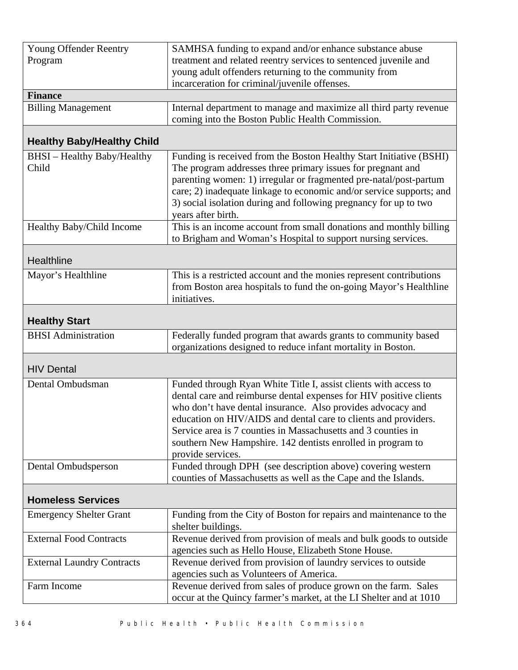| Young Offender Reentry<br>Program  | SAMHSA funding to expand and/or enhance substance abuse<br>treatment and related reentry services to sentenced juvenile and<br>young adult offenders returning to the community from |  |
|------------------------------------|--------------------------------------------------------------------------------------------------------------------------------------------------------------------------------------|--|
|                                    | incarceration for criminal/juvenile offenses.                                                                                                                                        |  |
| <b>Finance</b>                     |                                                                                                                                                                                      |  |
| <b>Billing Management</b>          | Internal department to manage and maximize all third party revenue<br>coming into the Boston Public Health Commission.                                                               |  |
| <b>Healthy Baby/Healthy Child</b>  |                                                                                                                                                                                      |  |
| <b>BHSI</b> - Healthy Baby/Healthy | Funding is received from the Boston Healthy Start Initiative (BSHI)                                                                                                                  |  |
| Child                              | The program addresses three primary issues for pregnant and                                                                                                                          |  |
|                                    | parenting women: 1) irregular or fragmented pre-natal/post-partum                                                                                                                    |  |
|                                    | care; 2) inadequate linkage to economic and/or service supports; and                                                                                                                 |  |
|                                    | 3) social isolation during and following pregnancy for up to two                                                                                                                     |  |
| Healthy Baby/Child Income          | years after birth.<br>This is an income account from small donations and monthly billing                                                                                             |  |
|                                    | to Brigham and Woman's Hospital to support nursing services.                                                                                                                         |  |
|                                    |                                                                                                                                                                                      |  |
| Healthline                         |                                                                                                                                                                                      |  |
| Mayor's Healthline                 | This is a restricted account and the monies represent contributions                                                                                                                  |  |
|                                    | from Boston area hospitals to fund the on-going Mayor's Healthline                                                                                                                   |  |
|                                    | initiatives.                                                                                                                                                                         |  |
| <b>Healthy Start</b>               |                                                                                                                                                                                      |  |
| <b>BHSI</b> Administration         | Federally funded program that awards grants to community based                                                                                                                       |  |
|                                    | organizations designed to reduce infant mortality in Boston.                                                                                                                         |  |
| <b>HIV Dental</b>                  |                                                                                                                                                                                      |  |
| Dental Ombudsman                   | Funded through Ryan White Title I, assist clients with access to                                                                                                                     |  |
|                                    | dental care and reimburse dental expenses for HIV positive clients                                                                                                                   |  |
|                                    | who don't have dental insurance. Also provides advocacy and                                                                                                                          |  |
|                                    | education on HIV/AIDS and dental care to clients and providers.                                                                                                                      |  |
|                                    | Service area is 7 counties in Massachusetts and 3 counties in                                                                                                                        |  |
|                                    | southern New Hampshire. 142 dentists enrolled in program to<br>provide services.                                                                                                     |  |
| Dental Ombudsperson                | Funded through DPH (see description above) covering western                                                                                                                          |  |
|                                    | counties of Massachusetts as well as the Cape and the Islands.                                                                                                                       |  |
|                                    |                                                                                                                                                                                      |  |
| <b>Homeless Services</b>           |                                                                                                                                                                                      |  |
| <b>Emergency Shelter Grant</b>     | Funding from the City of Boston for repairs and maintenance to the<br>shelter buildings.                                                                                             |  |
| <b>External Food Contracts</b>     | Revenue derived from provision of meals and bulk goods to outside<br>agencies such as Hello House, Elizabeth Stone House.                                                            |  |
| <b>External Laundry Contracts</b>  | Revenue derived from provision of laundry services to outside                                                                                                                        |  |
|                                    | agencies such as Volunteers of America.                                                                                                                                              |  |
| Farm Income                        | Revenue derived from sales of produce grown on the farm. Sales                                                                                                                       |  |
|                                    | occur at the Quincy farmer's market, at the LI Shelter and at 1010                                                                                                                   |  |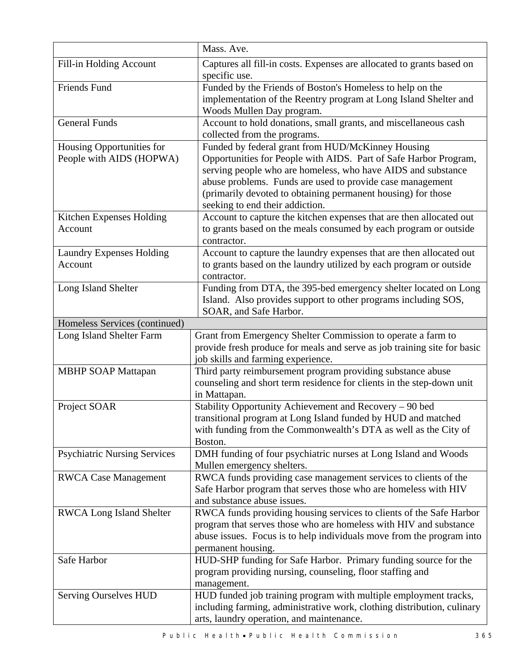|                                     | Mass. Ave.                                                               |
|-------------------------------------|--------------------------------------------------------------------------|
| Fill-in Holding Account             | Captures all fill-in costs. Expenses are allocated to grants based on    |
|                                     | specific use.                                                            |
| <b>Friends Fund</b>                 | Funded by the Friends of Boston's Homeless to help on the                |
|                                     | implementation of the Reentry program at Long Island Shelter and         |
|                                     | Woods Mullen Day program.                                                |
| <b>General Funds</b>                | Account to hold donations, small grants, and miscellaneous cash          |
|                                     | collected from the programs.                                             |
| Housing Opportunities for           | Funded by federal grant from HUD/McKinney Housing                        |
| People with AIDS (HOPWA)            | Opportunities for People with AIDS. Part of Safe Harbor Program,         |
|                                     | serving people who are homeless, who have AIDS and substance             |
|                                     | abuse problems. Funds are used to provide case management                |
|                                     | (primarily devoted to obtaining permanent housing) for those             |
|                                     | seeking to end their addiction.                                          |
| Kitchen Expenses Holding            | Account to capture the kitchen expenses that are then allocated out      |
| Account                             | to grants based on the meals consumed by each program or outside         |
|                                     | contractor.                                                              |
| <b>Laundry Expenses Holding</b>     | Account to capture the laundry expenses that are then allocated out      |
| Account                             | to grants based on the laundry utilized by each program or outside       |
|                                     | contractor.                                                              |
| Long Island Shelter                 | Funding from DTA, the 395-bed emergency shelter located on Long          |
|                                     | Island. Also provides support to other programs including SOS,           |
|                                     | SOAR, and Safe Harbor.                                                   |
| Homeless Services (continued)       |                                                                          |
| Long Island Shelter Farm            | Grant from Emergency Shelter Commission to operate a farm to             |
|                                     | provide fresh produce for meals and serve as job training site for basic |
|                                     | job skills and farming experience.                                       |
| <b>MBHP SOAP Mattapan</b>           | Third party reimbursement program providing substance abuse              |
|                                     | counseling and short term residence for clients in the step-down unit    |
| Project SOAR                        | in Mattapan.<br>Stability Opportunity Achievement and Recovery - 90 bed  |
|                                     | transitional program at Long Island funded by HUD and matched            |
|                                     | with funding from the Commonwealth's DTA as well as the City of          |
|                                     | Boston.                                                                  |
| <b>Psychiatric Nursing Services</b> | DMH funding of four psychiatric nurses at Long Island and Woods          |
|                                     | Mullen emergency shelters.                                               |
| <b>RWCA Case Management</b>         | RWCA funds providing case management services to clients of the          |
|                                     | Safe Harbor program that serves those who are homeless with HIV          |
|                                     | and substance abuse issues.                                              |
| <b>RWCA Long Island Shelter</b>     | RWCA funds providing housing services to clients of the Safe Harbor      |
|                                     | program that serves those who are homeless with HIV and substance        |
|                                     | abuse issues. Focus is to help individuals move from the program into    |
|                                     | permanent housing.                                                       |
| Safe Harbor                         | HUD-SHP funding for Safe Harbor. Primary funding source for the          |
|                                     | program providing nursing, counseling, floor staffing and                |
|                                     | management.                                                              |
| <b>Serving Ourselves HUD</b>        | HUD funded job training program with multiple employment tracks,         |
|                                     | including farming, administrative work, clothing distribution, culinary  |
|                                     | arts, laundry operation, and maintenance.                                |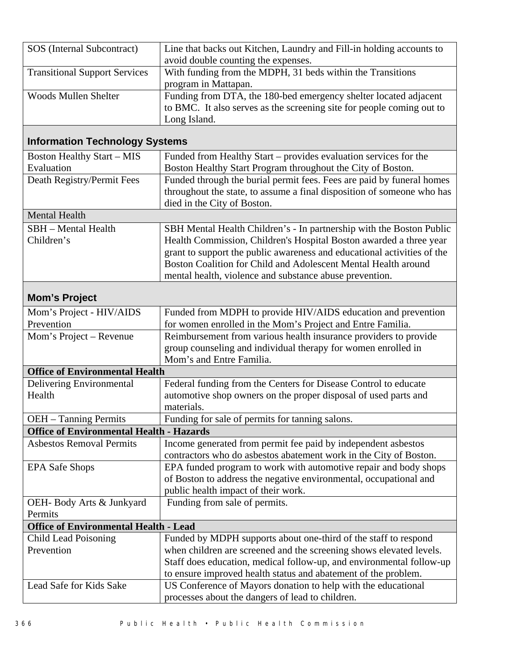| SOS (Internal Subcontract)                      | Line that backs out Kitchen, Laundry and Fill-in holding accounts to<br>avoid double counting the expenses. |
|-------------------------------------------------|-------------------------------------------------------------------------------------------------------------|
| <b>Transitional Support Services</b>            | With funding from the MDPH, 31 beds within the Transitions                                                  |
| <b>Woods Mullen Shelter</b>                     | program in Mattapan.<br>Funding from DTA, the 180-bed emergency shelter located adjacent                    |
|                                                 | to BMC. It also serves as the screening site for people coming out to                                       |
|                                                 | Long Island.                                                                                                |
|                                                 |                                                                                                             |
| <b>Information Technology Systems</b>           |                                                                                                             |
| <b>Boston Healthy Start - MIS</b>               | Funded from Healthy Start - provides evaluation services for the                                            |
| Evaluation                                      | Boston Healthy Start Program throughout the City of Boston.                                                 |
| Death Registry/Permit Fees                      | Funded through the burial permit fees. Fees are paid by funeral homes                                       |
|                                                 | throughout the state, to assume a final disposition of someone who has                                      |
|                                                 | died in the City of Boston.                                                                                 |
| <b>Mental Health</b>                            |                                                                                                             |
| <b>SBH</b> – Mental Health                      | SBH Mental Health Children's - In partnership with the Boston Public                                        |
| Children's                                      | Health Commission, Children's Hospital Boston awarded a three year                                          |
|                                                 | grant to support the public awareness and educational activities of the                                     |
|                                                 | Boston Coalition for Child and Adolescent Mental Health around                                              |
|                                                 | mental health, violence and substance abuse prevention.                                                     |
| <b>Mom's Project</b>                            |                                                                                                             |
| Mom's Project - HIV/AIDS                        | Funded from MDPH to provide HIV/AIDS education and prevention                                               |
| Prevention                                      | for women enrolled in the Mom's Project and Entre Familia.                                                  |
| Mom's Project – Revenue                         | Reimbursement from various health insurance providers to provide                                            |
|                                                 | group counseling and individual therapy for women enrolled in                                               |
|                                                 | Mom's and Entre Familia.                                                                                    |
| <b>Office of Environmental Health</b>           |                                                                                                             |
| Delivering Environmental<br>Health              | Federal funding from the Centers for Disease Control to educate                                             |
|                                                 | automotive shop owners on the proper disposal of used parts and<br>materials.                               |
| OEH - Tanning Permits                           | Funding for sale of permits for tanning salons.                                                             |
| <b>Office of Environmental Health - Hazards</b> |                                                                                                             |
| <b>Asbestos Removal Permits</b>                 | Income generated from permit fee paid by independent asbestos                                               |
|                                                 | contractors who do asbestos abatement work in the City of Boston.                                           |
| <b>EPA Safe Shops</b>                           | EPA funded program to work with automotive repair and body shops                                            |
|                                                 | of Boston to address the negative environmental, occupational and                                           |
|                                                 | public health impact of their work.                                                                         |
| OEH- Body Arts & Junkyard                       | Funding from sale of permits.                                                                               |
| Permits                                         |                                                                                                             |
| <b>Office of Environmental Health - Lead</b>    |                                                                                                             |
| <b>Child Lead Poisoning</b>                     | Funded by MDPH supports about one-third of the staff to respond                                             |
| Prevention                                      | when children are screened and the screening shows elevated levels.                                         |
|                                                 | Staff does education, medical follow-up, and environmental follow-up                                        |
|                                                 | to ensure improved health status and abatement of the problem.                                              |
| Lead Safe for Kids Sake                         | US Conference of Mayors donation to help with the educational                                               |
|                                                 | processes about the dangers of lead to children.                                                            |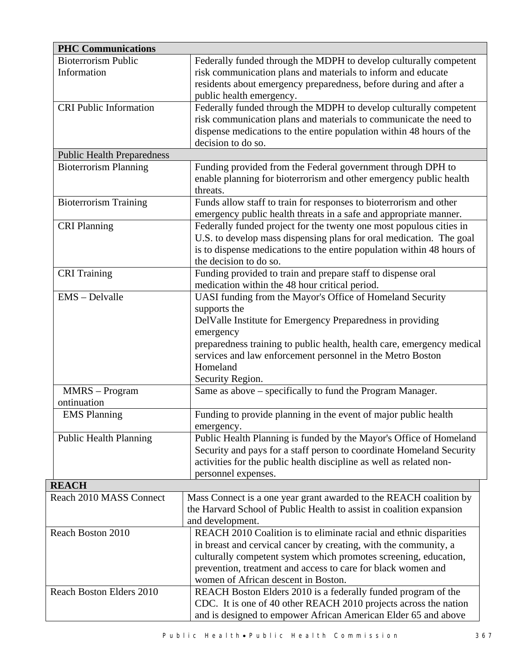| <b>PHC Communications</b>         |                                                                                                                                               |
|-----------------------------------|-----------------------------------------------------------------------------------------------------------------------------------------------|
| <b>Bioterrorism Public</b>        | Federally funded through the MDPH to develop culturally competent                                                                             |
| Information                       | risk communication plans and materials to inform and educate                                                                                  |
|                                   | residents about emergency preparedness, before during and after a                                                                             |
|                                   | public health emergency.                                                                                                                      |
| <b>CRI Public Information</b>     | Federally funded through the MDPH to develop culturally competent                                                                             |
|                                   | risk communication plans and materials to communicate the need to                                                                             |
|                                   | dispense medications to the entire population within 48 hours of the                                                                          |
|                                   | decision to do so.                                                                                                                            |
| <b>Public Health Preparedness</b> |                                                                                                                                               |
| <b>Bioterrorism Planning</b>      | Funding provided from the Federal government through DPH to                                                                                   |
|                                   | enable planning for bioterrorism and other emergency public health                                                                            |
|                                   | threats.                                                                                                                                      |
| <b>Bioterrorism Training</b>      | Funds allow staff to train for responses to bioterrorism and other                                                                            |
|                                   | emergency public health threats in a safe and appropriate manner.                                                                             |
| <b>CRI Planning</b>               | Federally funded project for the twenty one most populous cities in                                                                           |
|                                   | U.S. to develop mass dispensing plans for oral medication. The goal<br>is to dispense medications to the entire population within 48 hours of |
|                                   | the decision to do so.                                                                                                                        |
| <b>CRI</b> Training               | Funding provided to train and prepare staff to dispense oral                                                                                  |
|                                   | medication within the 48 hour critical period.                                                                                                |
| EMS - Delvalle                    | UASI funding from the Mayor's Office of Homeland Security                                                                                     |
|                                   | supports the                                                                                                                                  |
|                                   | DelValle Institute for Emergency Preparedness in providing                                                                                    |
|                                   | emergency                                                                                                                                     |
|                                   | preparedness training to public health, health care, emergency medical                                                                        |
|                                   | services and law enforcement personnel in the Metro Boston                                                                                    |
|                                   | Homeland                                                                                                                                      |
|                                   | Security Region.                                                                                                                              |
| MMRS - Program                    | Same as above – specifically to fund the Program Manager.                                                                                     |
| ontinuation                       |                                                                                                                                               |
| <b>EMS Planning</b>               | Funding to provide planning in the event of major public health                                                                               |
|                                   | emergency.                                                                                                                                    |
| <b>Public Health Planning</b>     | Public Health Planning is funded by the Mayor's Office of Homeland                                                                            |
|                                   | Security and pays for a staff person to coordinate Homeland Security                                                                          |
|                                   | activities for the public health discipline as well as related non-                                                                           |
|                                   | personnel expenses.                                                                                                                           |
| <b>REACH</b>                      |                                                                                                                                               |
| Reach 2010 MASS Connect           | Mass Connect is a one year grant awarded to the REACH coalition by                                                                            |
|                                   | the Harvard School of Public Health to assist in coalition expansion<br>and development.                                                      |
| Reach Boston 2010                 | REACH 2010 Coalition is to eliminate racial and ethnic disparities                                                                            |
|                                   | in breast and cervical cancer by creating, with the community, a                                                                              |
|                                   | culturally competent system which promotes screening, education,                                                                              |
|                                   | prevention, treatment and access to care for black women and                                                                                  |
|                                   | women of African descent in Boston.                                                                                                           |
| Reach Boston Elders 2010          | REACH Boston Elders 2010 is a federally funded program of the                                                                                 |
|                                   | CDC. It is one of 40 other REACH 2010 projects across the nation                                                                              |
|                                   | and is designed to empower African American Elder 65 and above                                                                                |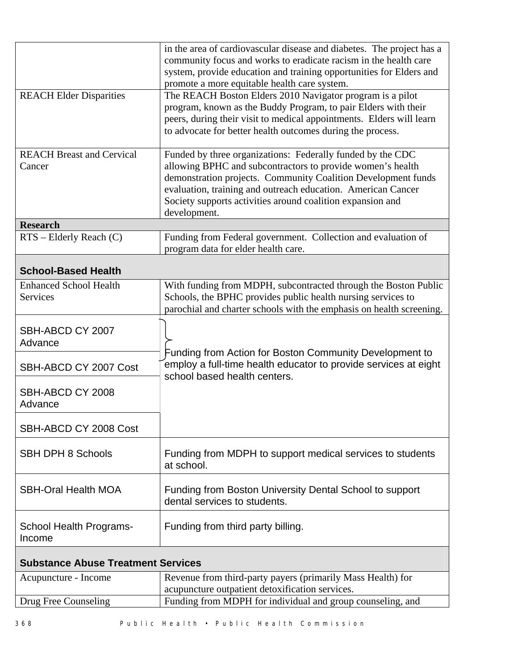|                                                  | in the area of cardiovascular disease and diabetes. The project has a<br>community focus and works to eradicate racism in the health care<br>system, provide education and training opportunities for Elders and<br>promote a more equitable health care system.                                                                        |  |  |
|--------------------------------------------------|-----------------------------------------------------------------------------------------------------------------------------------------------------------------------------------------------------------------------------------------------------------------------------------------------------------------------------------------|--|--|
| <b>REACH Elder Disparities</b>                   | The REACH Boston Elders 2010 Navigator program is a pilot<br>program, known as the Buddy Program, to pair Elders with their<br>peers, during their visit to medical appointments. Elders will learn<br>to advocate for better health outcomes during the process.                                                                       |  |  |
| <b>REACH Breast and Cervical</b><br>Cancer       | Funded by three organizations: Federally funded by the CDC<br>allowing BPHC and subcontractors to provide women's health<br>demonstration projects. Community Coalition Development funds<br>evaluation, training and outreach education. American Cancer<br>Society supports activities around coalition expansion and<br>development. |  |  |
| <b>Research</b>                                  |                                                                                                                                                                                                                                                                                                                                         |  |  |
| $RTS$ – Elderly Reach (C)                        | Funding from Federal government. Collection and evaluation of<br>program data for elder health care.                                                                                                                                                                                                                                    |  |  |
| <b>School-Based Health</b>                       |                                                                                                                                                                                                                                                                                                                                         |  |  |
| <b>Enhanced School Health</b><br><b>Services</b> | With funding from MDPH, subcontracted through the Boston Public<br>Schools, the BPHC provides public health nursing services to<br>parochial and charter schools with the emphasis on health screening.                                                                                                                                 |  |  |
| SBH-ABCD CY 2007<br>Advance                      | Funding from Action for Boston Community Development to                                                                                                                                                                                                                                                                                 |  |  |
| SBH-ABCD CY 2007 Cost                            | employ a full-time health educator to provide services at eight<br>school based health centers.                                                                                                                                                                                                                                         |  |  |
| SBH-ABCD CY 2008<br>Advance                      |                                                                                                                                                                                                                                                                                                                                         |  |  |
| SBH-ABCD CY 2008 Cost                            |                                                                                                                                                                                                                                                                                                                                         |  |  |
| <b>SBH DPH 8 Schools</b>                         | Funding from MDPH to support medical services to students<br>at school.                                                                                                                                                                                                                                                                 |  |  |
| <b>SBH-Oral Health MOA</b>                       | Funding from Boston University Dental School to support<br>dental services to students.                                                                                                                                                                                                                                                 |  |  |
| <b>School Health Programs-</b><br>Income         | Funding from third party billing.                                                                                                                                                                                                                                                                                                       |  |  |
|                                                  | <b>Substance Abuse Treatment Services</b>                                                                                                                                                                                                                                                                                               |  |  |
| Acupuncture - Income                             | Revenue from third-party payers (primarily Mass Health) for<br>acupuncture outpatient detoxification services.                                                                                                                                                                                                                          |  |  |
| Drug Free Counseling                             | Funding from MDPH for individual and group counseling, and                                                                                                                                                                                                                                                                              |  |  |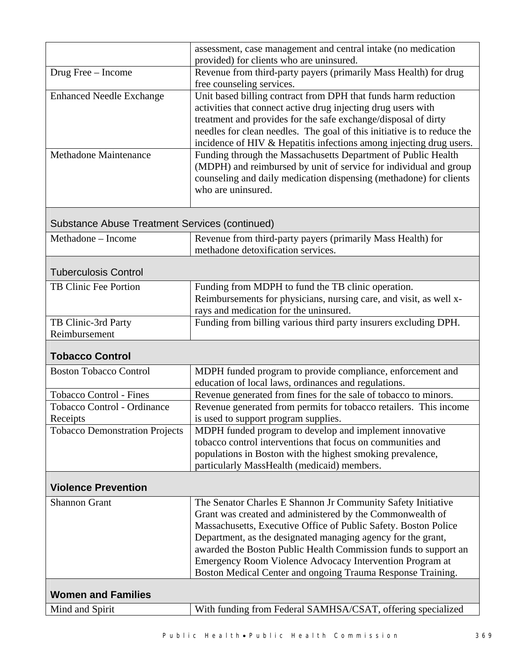| Mind and Spirit                                       | With funding from Federal SAMHSA/CSAT, offering specialized                                                                             |  |
|-------------------------------------------------------|-----------------------------------------------------------------------------------------------------------------------------------------|--|
| <b>Women and Families</b>                             |                                                                                                                                         |  |
|                                                       | Boston Medical Center and ongoing Trauma Response Training.                                                                             |  |
|                                                       | Emergency Room Violence Advocacy Intervention Program at                                                                                |  |
|                                                       | Department, as the designated managing agency for the grant,<br>awarded the Boston Public Health Commission funds to support an         |  |
|                                                       | Massachusetts, Executive Office of Public Safety. Boston Police                                                                         |  |
|                                                       | Grant was created and administered by the Commonwealth of                                                                               |  |
| <b>Shannon Grant</b>                                  | The Senator Charles E Shannon Jr Community Safety Initiative                                                                            |  |
| <b>Violence Prevention</b>                            |                                                                                                                                         |  |
|                                                       | particularly MassHealth (medicaid) members.                                                                                             |  |
|                                                       | populations in Boston with the highest smoking prevalence,                                                                              |  |
|                                                       | tobacco control interventions that focus on communities and                                                                             |  |
| Receipts<br><b>Tobacco Demonstration Projects</b>     | is used to support program supplies.<br>MDPH funded program to develop and implement innovative                                         |  |
| <b>Tobacco Control - Ordinance</b>                    | Revenue generated from permits for tobacco retailers. This income                                                                       |  |
| <b>Tobacco Control - Fines</b>                        | Revenue generated from fines for the sale of tobacco to minors.                                                                         |  |
|                                                       | education of local laws, ordinances and regulations.                                                                                    |  |
| <b>Boston Tobacco Control</b>                         | MDPH funded program to provide compliance, enforcement and                                                                              |  |
| <b>Tobacco Control</b>                                |                                                                                                                                         |  |
| Reimbursement                                         |                                                                                                                                         |  |
| TB Clinic-3rd Party                                   | Funding from billing various third party insurers excluding DPH.                                                                        |  |
|                                                       | rays and medication for the uninsured.                                                                                                  |  |
|                                                       | Reimbursements for physicians, nursing care, and visit, as well x-                                                                      |  |
| TB Clinic Fee Portion                                 | Funding from MDPH to fund the TB clinic operation.                                                                                      |  |
| <b>Tuberculosis Control</b>                           |                                                                                                                                         |  |
|                                                       | methadone detoxification services.                                                                                                      |  |
| Methadone - Income                                    | Revenue from third-party payers (primarily Mass Health) for                                                                             |  |
| <b>Substance Abuse Treatment Services (continued)</b> |                                                                                                                                         |  |
|                                                       |                                                                                                                                         |  |
|                                                       | who are uninsured.                                                                                                                      |  |
|                                                       | (MDPH) and reimbursed by unit of service for individual and group<br>counseling and daily medication dispensing (methadone) for clients |  |
| <b>Methadone Maintenance</b>                          | Funding through the Massachusetts Department of Public Health                                                                           |  |
|                                                       | incidence of HIV & Hepatitis infections among injecting drug users.                                                                     |  |
|                                                       | needles for clean needles. The goal of this initiative is to reduce the                                                                 |  |
|                                                       | treatment and provides for the safe exchange/disposal of dirty                                                                          |  |
|                                                       | activities that connect active drug injecting drug users with                                                                           |  |
| <b>Enhanced Needle Exchange</b>                       | Unit based billing contract from DPH that funds harm reduction                                                                          |  |
|                                                       | free counseling services.                                                                                                               |  |
| Drug Free - Income                                    | provided) for clients who are uninsured.<br>Revenue from third-party payers (primarily Mass Health) for drug                            |  |
|                                                       | assessment, case management and central intake (no medication                                                                           |  |
|                                                       |                                                                                                                                         |  |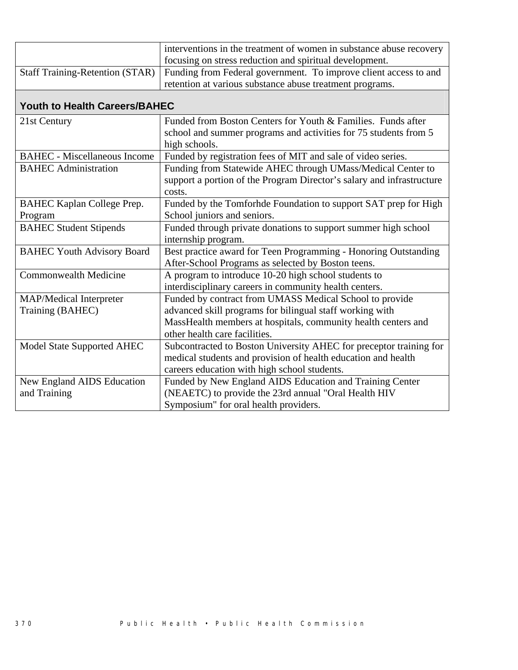| interventions in the treatment of women in substance abuse recovery                              |
|--------------------------------------------------------------------------------------------------|
| focusing on stress reduction and spiritual development.                                          |
| Staff Training-Retention (STAR) Funding from Federal government. To improve client access to and |
| retention at various substance abuse treatment programs.                                         |

## **Youth to Health Careers/BAHEC**

| 21st Century                        | Funded from Boston Centers for Youth & Families. Funds after          |
|-------------------------------------|-----------------------------------------------------------------------|
|                                     | school and summer programs and activities for 75 students from 5      |
|                                     | high schools.                                                         |
| <b>BAHEC</b> - Miscellaneous Income | Funded by registration fees of MIT and sale of video series.          |
| <b>BAHEC</b> Administration         | Funding from Statewide AHEC through UMass/Medical Center to           |
|                                     | support a portion of the Program Director's salary and infrastructure |
|                                     | costs.                                                                |
| <b>BAHEC Kaplan College Prep.</b>   | Funded by the Tomforhde Foundation to support SAT prep for High       |
| Program                             | School juniors and seniors.                                           |
| <b>BAHEC Student Stipends</b>       | Funded through private donations to support summer high school        |
|                                     | internship program.                                                   |
| <b>BAHEC Youth Advisory Board</b>   | Best practice award for Teen Programming - Honoring Outstanding       |
|                                     | After-School Programs as selected by Boston teens.                    |
| <b>Commonwealth Medicine</b>        | A program to introduce 10-20 high school students to                  |
|                                     | interdisciplinary careers in community health centers.                |
| MAP/Medical Interpreter             | Funded by contract from UMASS Medical School to provide               |
| Training (BAHEC)                    | advanced skill programs for bilingual staff working with              |
|                                     | MassHealth members at hospitals, community health centers and         |
|                                     | other health care facilities.                                         |
| Model State Supported AHEC          | Subcontracted to Boston University AHEC for preceptor training for    |
|                                     | medical students and provision of health education and health         |
|                                     | careers education with high school students.                          |
| New England AIDS Education          | Funded by New England AIDS Education and Training Center              |
| and Training                        | (NEAETC) to provide the 23rd annual "Oral Health HIV                  |
|                                     | Symposium" for oral health providers.                                 |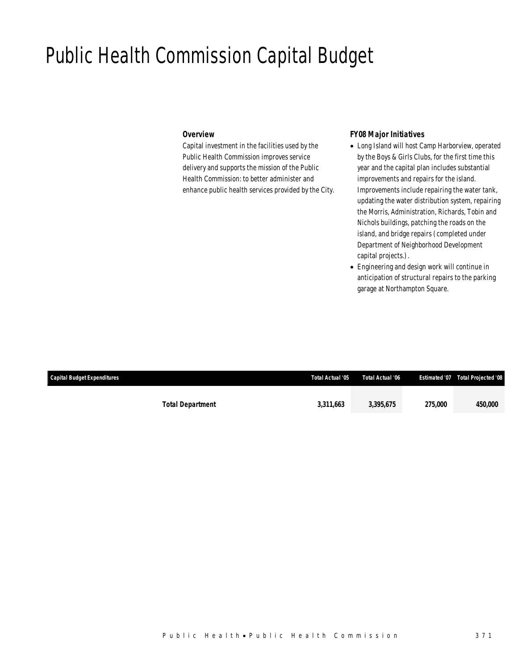## Public Health Commission Capital Budget

### *Overview*

Capital investment in the facilities used by the Public Health Commission improves service delivery and supports the mission of the Public Health Commission: to better administer and enhance public health services provided by the City.

## *FY08 Major Initiatives*

- Long Island will host Camp Harborview, operated by the Boys & Girls Clubs, for the first time this year and the capital plan includes substantial improvements and repairs for the island. Improvements include repairing the water tank, updating the water distribution system, repairing the Morris, Administration, Richards, Tobin and Nichols buildings, patching the roads on the island, and bridge repairs (completed under Department of Neighborhood Development capital projects.).
- Engineering and design work will continue in anticipation of structural repairs to the parking garage at Northampton Square.

| Capital Budget Expenditures |                         | Total Actual '05 | Total Actual '06 |                | <b>Estimated '07  Total Projected '08</b> |
|-----------------------------|-------------------------|------------------|------------------|----------------|-------------------------------------------|
|                             | <b>Total Department</b> | 3,311,663        | 3,395,675        | <i>275.000</i> | 450,000                                   |
|                             |                         |                  |                  |                |                                           |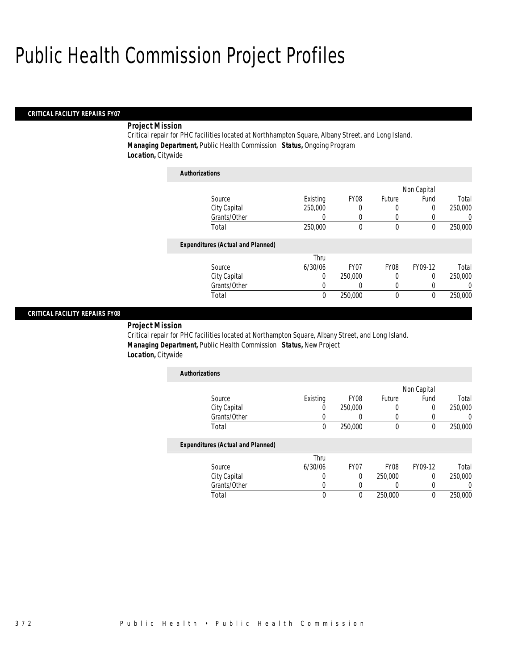## Public Health Commission Project Profiles

## *CRITICAL FACILITY REPAIRS FY07*

## *Project Mission*

Critical repair for PHC facilities located at Northhampton Square, Albany Street, and Long Island. *Managing Department,* Public Health Commission *Status,* Ongoing Program *Location,* Citywide

| <b>Authorizations</b>                    |          |                  |             |             |          |
|------------------------------------------|----------|------------------|-------------|-------------|----------|
|                                          |          |                  |             | Non Capital |          |
| Source                                   | Existing | FY <sub>08</sub> | Future      | Fund        | Total    |
| City Capital                             | 250,000  | 0                | 0           | $\Omega$    | 250,000  |
| Grants/Other                             | 0        | 0                | 0           |             | U        |
| Total                                    | 250,000  | 0                | $\mathbf 0$ | 0           | 250,000  |
| <b>Expenditures (Actual and Planned)</b> |          |                  |             |             |          |
|                                          | Thru     |                  |             |             |          |
| Source                                   | 6/30/06  | FY <sub>07</sub> | <b>FY08</b> | FY09-12     | Total    |
| City Capital                             | 0        | 250,000          | 0           | $\Omega$    | 250,000  |
| Grants/Other                             | 0        | 0                | 0           | 0           | $\left($ |
| Total                                    | 0        | 250,000          | $\mathbf 0$ | 0           | 250,000  |

### *CRITICAL FACILITY REPAIRS FY08*

*Project Mission* 

Critical repair for PHC facilities located at Northampton Square, Albany Street, and Long Island. *Managing Department,* Public Health Commission *Status,* New Project *Location,* Citywide

| <b>Authorizations</b>                    |                  |         |                  |             |         |
|------------------------------------------|------------------|---------|------------------|-------------|---------|
|                                          |                  |         |                  | Non Capital |         |
| Source                                   | Existing         | FY08    | <b>Future</b>    | Fund        | Total   |
| City Capital                             | $\left( \right)$ | 250,000 | $\left( \right)$ | 0           | 250,000 |
| Grants/Other                             |                  |         |                  |             |         |
| Total                                    | 0                | 250,000 | 0                | 0           | 250,000 |
| <b>Expenditures (Actual and Planned)</b> |                  |         |                  |             |         |

|              | Thru    |             |                  |         |         |
|--------------|---------|-------------|------------------|---------|---------|
| Source       | 6/30/06 | <b>FY07</b> | FY <sub>08</sub> | FY09-12 | Total   |
| City Capital |         |             | 250,000          |         | 250,000 |
| Grants/Other |         |             |                  |         |         |
| Total        |         |             | 250,000          |         | 250,000 |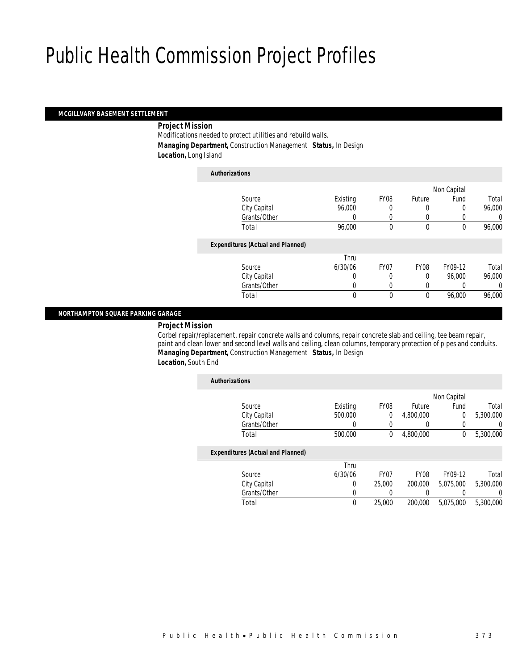## Public Health Commission Project Profiles

## *MCGILLVARY BASEMENT SETTLEMENT*

*Project Mission* 

Modifications needed to protect utilities and rebuild walls. *Managing Department,* Construction Management *Status,* In Design *Location,* Long Island

| <b>Authorizations</b>                    |              |                  |          |             |        |
|------------------------------------------|--------------|------------------|----------|-------------|--------|
|                                          |              |                  |          | Non Capital |        |
| Source                                   | Existing     | FY <sub>08</sub> | Future   | Fund        | Total  |
| City Capital                             | 96.000       | 0                | 0        | 0           | 96,000 |
| Grants/Other                             | 0            | $\Omega$         | $\left($ |             | 0      |
| Total                                    | 96,000       | $\theta$         | 0        | 0           | 96,000 |
| <b>Expenditures (Actual and Planned)</b> |              |                  |          |             |        |
|                                          | Thru         |                  |          |             |        |
| Source                                   | 6/30/06      | FY07             | FY08     | FY09-12     | Total  |
| City Capital                             | 0            | 0                | $\Omega$ | 96,000      | 96,000 |
| Grants/Other                             | 0            | $\Omega$         | 0        |             | 0      |
| Total                                    | $\mathbf{0}$ | $\theta$         | 0        | 96,000      | 96,000 |
|                                          |              |                  |          |             |        |

### *NORTHAMPTON SQUARE PARKING GARAGE*

*Project Mission* 

Corbel repair/replacement, repair concrete walls and columns, repair concrete slab and ceiling, tee beam repair, paint and clean lower and second level walls and ceiling, clean columns, temporary protection of pipes and conduits. *Managing Department,* Construction Management *Status,* In Design *Location,* South End

| <b>Authorizations</b> |                                          |          |                  |             |                |           |
|-----------------------|------------------------------------------|----------|------------------|-------------|----------------|-----------|
|                       |                                          |          |                  |             | Non Capital    |           |
| Source                |                                          | Existing | FY08             | Future      | Fund           | Total     |
|                       | City Capital                             | 500,000  | 0                | 4,800,000   | $\overline{0}$ | 5,300,000 |
|                       | Grants/Other                             |          |                  |             |                | 0         |
| Total                 |                                          | 500,000  | 0                | 4.800.000   | 0              | 5,300,000 |
|                       | <b>Expenditures (Actual and Planned)</b> |          |                  |             |                |           |
|                       |                                          | Thru     |                  |             |                |           |
| Source                |                                          | 6/30/06  | FY <sub>07</sub> | <b>FY08</b> | FY09-12        | Total     |
|                       | City Capital                             | $\Omega$ | 25,000           | 200,000     | 5,075,000      | 5,300,000 |
|                       | Grants/Other                             | 0        | 0                |             |                | 0         |
| Total                 |                                          | 0        | 25,000           | 200,000     | 5,075,000      | 5,300,000 |